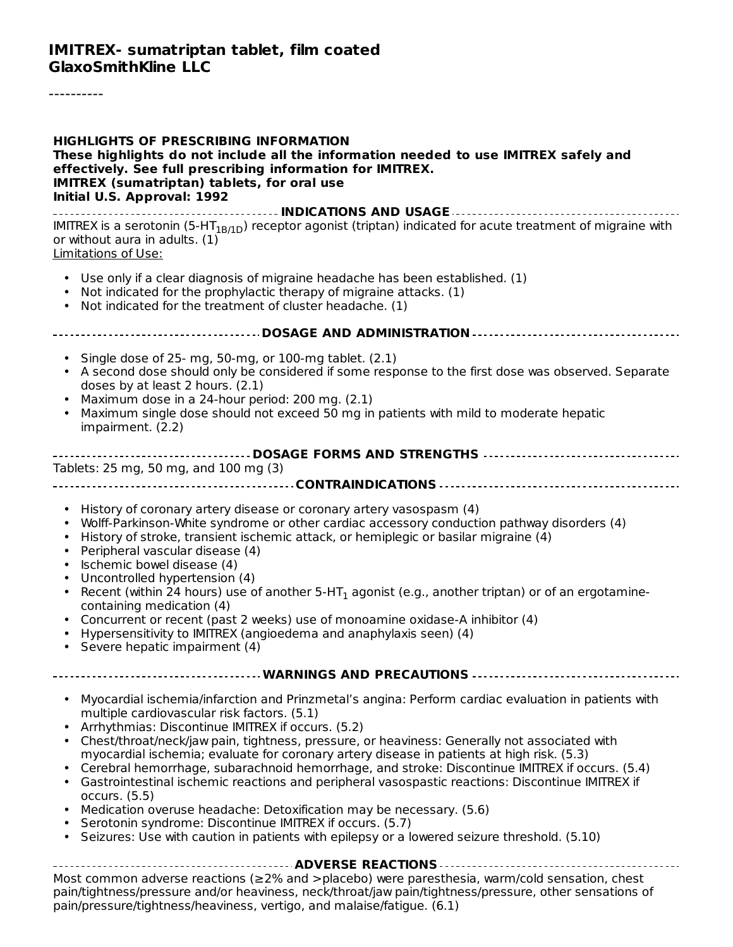----------

| <b>HIGHLIGHTS OF PRESCRIBING INFORMATION</b><br>These highlights do not include all the information needed to use IMITREX safely and<br>effectively. See full prescribing information for IMITREX.<br><b>IMITREX</b> (sumatriptan) tablets, for oral use<br>Initial U.S. Approval: 1992                                                                                                                                                                                                                                                                                                                                                                                                                                                                                                                                                                                                     |
|---------------------------------------------------------------------------------------------------------------------------------------------------------------------------------------------------------------------------------------------------------------------------------------------------------------------------------------------------------------------------------------------------------------------------------------------------------------------------------------------------------------------------------------------------------------------------------------------------------------------------------------------------------------------------------------------------------------------------------------------------------------------------------------------------------------------------------------------------------------------------------------------|
| IMITREX is a serotonin (5-HT <sub>1B/1D</sub> ) receptor agonist (triptan) indicated for acute treatment of migraine with<br>or without aura in adults. (1)<br>Limitations of Use:                                                                                                                                                                                                                                                                                                                                                                                                                                                                                                                                                                                                                                                                                                          |
| • Use only if a clear diagnosis of migraine headache has been established. (1)<br>Not indicated for the prophylactic therapy of migraine attacks. (1)<br>$\bullet$<br>• Not indicated for the treatment of cluster headache. (1)                                                                                                                                                                                                                                                                                                                                                                                                                                                                                                                                                                                                                                                            |
|                                                                                                                                                                                                                                                                                                                                                                                                                                                                                                                                                                                                                                                                                                                                                                                                                                                                                             |
| • Single dose of 25- mg, 50-mg, or 100-mg tablet. (2.1)<br>• A second dose should only be considered if some response to the first dose was observed. Separate<br>doses by at least 2 hours. (2.1)<br>Maximum dose in a 24-hour period: 200 mg. (2.1)<br>٠<br>Maximum single dose should not exceed 50 mg in patients with mild to moderate hepatic<br>$\bullet$<br>impairment. (2.2)                                                                                                                                                                                                                                                                                                                                                                                                                                                                                                       |
| Tablets: 25 mg, 50 mg, and 100 mg (3)                                                                                                                                                                                                                                                                                                                                                                                                                                                                                                                                                                                                                                                                                                                                                                                                                                                       |
| • History of coronary artery disease or coronary artery vasospasm (4)<br>Wolff-Parkinson-White syndrome or other cardiac accessory conduction pathway disorders (4)<br>History of stroke, transient ischemic attack, or hemiplegic or basilar migraine (4)<br>$\bullet$<br>Peripheral vascular disease (4)<br>$\bullet$<br>· Ischemic bowel disease (4)<br>• Uncontrolled hypertension (4)<br>• Recent (within 24 hours) use of another $5-HT_1$ agonist (e.g., another triptan) or of an ergotamine-<br>containing medication (4)<br>• Concurrent or recent (past 2 weeks) use of monoamine oxidase-A inhibitor (4)<br>• Hypersensitivity to IMITREX (angioedema and anaphylaxis seen) (4)<br>• Severe hepatic impairment (4)                                                                                                                                                              |
| WARNINGS AND PRECAUTIONS                                                                                                                                                                                                                                                                                                                                                                                                                                                                                                                                                                                                                                                                                                                                                                                                                                                                    |
| Myocardial ischemia/infarction and Prinzmetal's angina: Perform cardiac evaluation in patients with<br>multiple cardiovascular risk factors. (5.1)<br>Arrhythmias: Discontinue IMITREX if occurs. (5.2)<br>Chest/throat/neck/jaw pain, tightness, pressure, or heaviness: Generally not associated with<br>myocardial ischemia; evaluate for coronary artery disease in patients at high risk. (5.3)<br>Cerebral hemorrhage, subarachnoid hemorrhage, and stroke: Discontinue IMITREX if occurs. (5.4)<br>$\bullet$<br>• Gastrointestinal ischemic reactions and peripheral vasospastic reactions: Discontinue IMITREX if<br>occurs. (5.5)<br>Medication overuse headache: Detoxification may be necessary. (5.6)<br>$\bullet$<br>Serotonin syndrome: Discontinue IMITREX if occurs. (5.7)<br>• Seizures: Use with caution in patients with epilepsy or a lowered seizure threshold. (5.10) |
|                                                                                                                                                                                                                                                                                                                                                                                                                                                                                                                                                                                                                                                                                                                                                                                                                                                                                             |
| Most common adverse reactions (≥2% and >placebo) were paresthesia, warm/cold sensation, chest<br>pain/tightness/pressure and/or heaviness, neck/throat/jaw pain/tightness/pressure, other sensations of<br>pain/pressure/tightness/heaviness, vertigo, and malaise/fatigue. (6.1)                                                                                                                                                                                                                                                                                                                                                                                                                                                                                                                                                                                                           |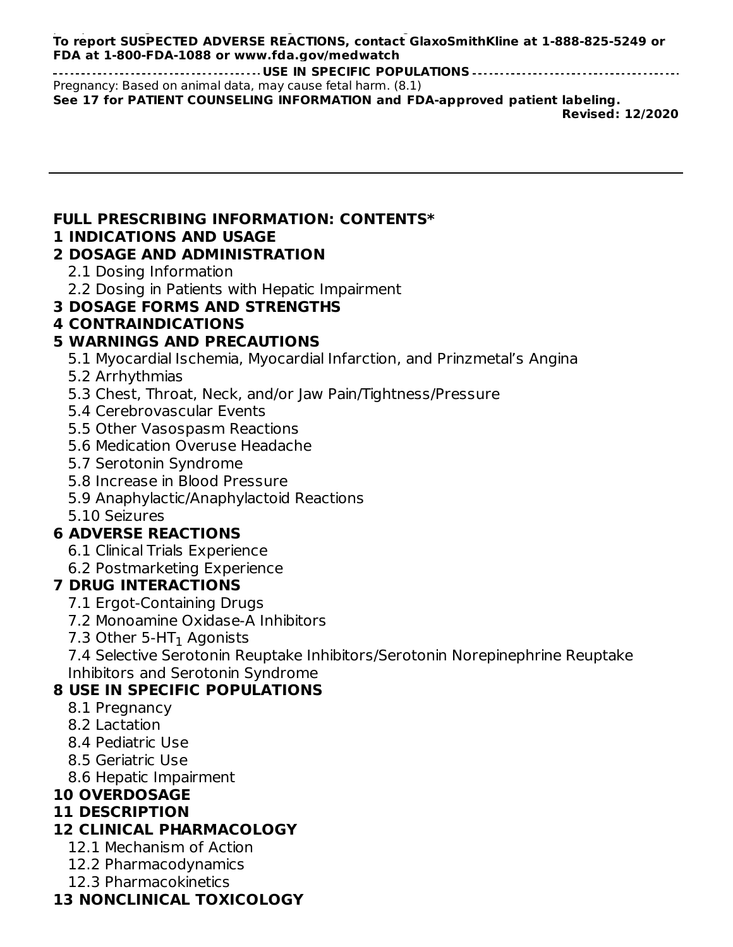#### pain/pressure/tightness/heaviness, vertigo, and malaise/fatigue. (6.1) **To report SUSPECTED ADVERSE REACTIONS, contact GlaxoSmithKline at 1-888-825-5249 or FDA at 1-800-FDA-1088 or www.fda.gov/medwatch**

**USE IN SPECIFIC POPULATIONS** Pregnancy: Based on animal data, may cause fetal harm. (8.1) **See 17 for PATIENT COUNSELING INFORMATION and FDA-approved patient labeling. Revised: 12/2020**

# **FULL PRESCRIBING INFORMATION: CONTENTS\***

### **1 INDICATIONS AND USAGE**

### **2 DOSAGE AND ADMINISTRATION**

- 2.1 Dosing Information
- 2.2 Dosing in Patients with Hepatic Impairment
- **3 DOSAGE FORMS AND STRENGTHS**

### **4 CONTRAINDICATIONS**

## **5 WARNINGS AND PRECAUTIONS**

- 5.1 Myocardial Ischemia, Myocardial Infarction, and Prinzmetal's Angina
- 5.2 Arrhythmias
- 5.3 Chest, Throat, Neck, and/or Jaw Pain/Tightness/Pressure
- 5.4 Cerebrovascular Events
- 5.5 Other Vasospasm Reactions
- 5.6 Medication Overuse Headache
- 5.7 Serotonin Syndrome
- 5.8 Increase in Blood Pressure
- 5.9 Anaphylactic/Anaphylactoid Reactions
- 5.10 Seizures

### **6 ADVERSE REACTIONS**

- 6.1 Clinical Trials Experience
- 6.2 Postmarketing Experience

### **7 DRUG INTERACTIONS**

- 7.1 Ergot-Containing Drugs
- 7.2 Monoamine Oxidase-A Inhibitors
- 7.3 Other 5-HT $_{\rm 1}$  Agonists

7.4 Selective Serotonin Reuptake Inhibitors/Serotonin Norepinephrine Reuptake Inhibitors and Serotonin Syndrome

### **8 USE IN SPECIFIC POPULATIONS**

- 8.1 Pregnancy
- 8.2 Lactation
- 8.4 Pediatric Use
- 8.5 Geriatric Use
- 8.6 Hepatic Impairment

## **10 OVERDOSAGE**

### **11 DESCRIPTION**

## **12 CLINICAL PHARMACOLOGY**

- 12.1 Mechanism of Action
- 12.2 Pharmacodynamics
- 12.3 Pharmacokinetics

## **13 NONCLINICAL TOXICOLOGY**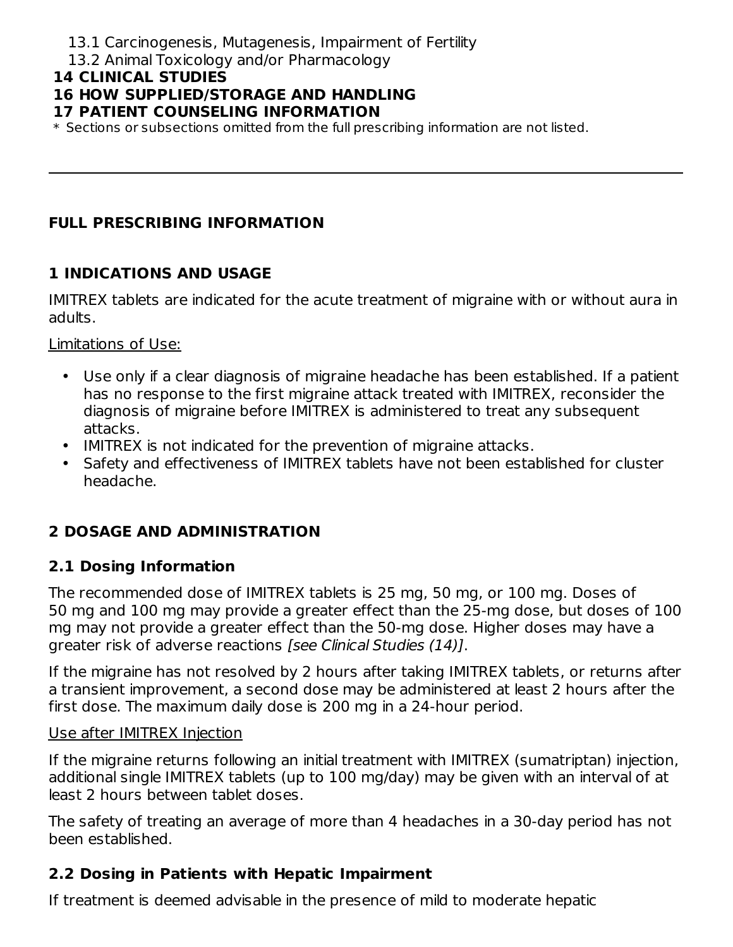- 13.1 Carcinogenesis, Mutagenesis, Impairment of Fertility
- 13.2 Animal Toxicology and/or Pharmacology

#### **14 CLINICAL STUDIES**

## **16 HOW SUPPLIED/STORAGE AND HANDLING**

#### **17 PATIENT COUNSELING INFORMATION**

\* Sections or subsections omitted from the full prescribing information are not listed.

### **FULL PRESCRIBING INFORMATION**

### **1 INDICATIONS AND USAGE**

IMITREX tablets are indicated for the acute treatment of migraine with or without aura in adults.

Limitations of Use:

- Use only if a clear diagnosis of migraine headache has been established. If a patient has no response to the first migraine attack treated with IMITREX, reconsider the diagnosis of migraine before IMITREX is administered to treat any subsequent attacks.
- IMITREX is not indicated for the prevention of migraine attacks.
- Safety and effectiveness of IMITREX tablets have not been established for cluster headache.

## **2 DOSAGE AND ADMINISTRATION**

#### **2.1 Dosing Information**

The recommended dose of IMITREX tablets is 25 mg, 50 mg, or 100 mg. Doses of 50 mg and 100 mg may provide a greater effect than the 25-mg dose, but doses of 100 mg may not provide a greater effect than the 50-mg dose. Higher doses may have a greater risk of adverse reactions [see Clinical Studies (14)].

If the migraine has not resolved by 2 hours after taking IMITREX tablets, or returns after a transient improvement, a second dose may be administered at least 2 hours after the first dose. The maximum daily dose is 200 mg in a 24-hour period.

#### Use after IMITREX Injection

If the migraine returns following an initial treatment with IMITREX (sumatriptan) injection, additional single IMITREX tablets (up to 100 mg/day) may be given with an interval of at least 2 hours between tablet doses.

The safety of treating an average of more than 4 headaches in a 30-day period has not been established.

### **2.2 Dosing in Patients with Hepatic Impairment**

If treatment is deemed advisable in the presence of mild to moderate hepatic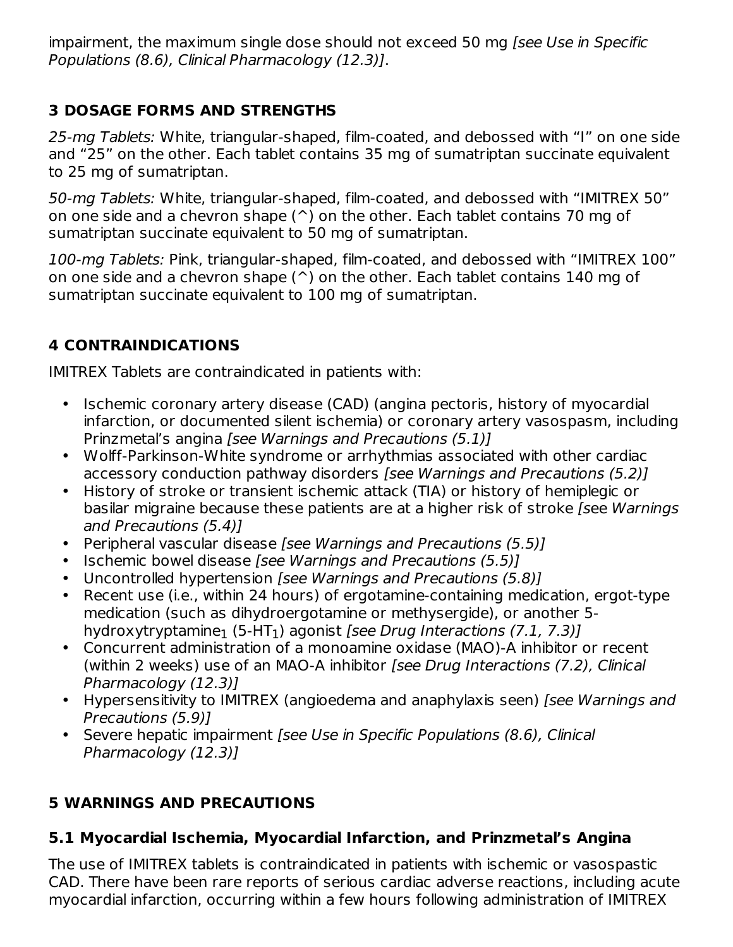impairment, the maximum single dose should not exceed 50 mg [see Use in Specific Populations (8.6), Clinical Pharmacology (12.3)].

## **3 DOSAGE FORMS AND STRENGTHS**

25-mg Tablets: White, triangular-shaped, film-coated, and debossed with "I" on one side and "25" on the other. Each tablet contains 35 mg of sumatriptan succinate equivalent to 25 mg of sumatriptan.

50-mg Tablets: White, triangular-shaped, film-coated, and debossed with "IMITREX 50" on one side and a chevron shape  $(^{\wedge})$  on the other. Each tablet contains 70 mg of sumatriptan succinate equivalent to 50 mg of sumatriptan.

100-mg Tablets: Pink, triangular-shaped, film-coated, and debossed with "IMITREX 100" on one side and a chevron shape  $(^{\wedge})$  on the other. Each tablet contains 140 mg of sumatriptan succinate equivalent to 100 mg of sumatriptan.

## **4 CONTRAINDICATIONS**

IMITREX Tablets are contraindicated in patients with:

- Ischemic coronary artery disease (CAD) (angina pectoris, history of myocardial infarction, or documented silent ischemia) or coronary artery vasospasm, including Prinzmetal's angina [see Warnings and Precautions (5.1)]
- Wolff-Parkinson-White syndrome or arrhythmias associated with other cardiac accessory conduction pathway disorders [see Warnings and Precautions (5.2)]
- History of stroke or transient ischemic attack (TIA) or history of hemiplegic or basilar migraine because these patients are at a higher risk of stroke [see Warnings and Precautions (5.4)]
- Peripheral vascular disease [see Warnings and Precautions (5.5)]
- Ischemic bowel disease [see Warnings and Precautions (5.5)]
- Uncontrolled hypertension [see Warnings and Precautions (5.8)]
- Recent use (i.e., within 24 hours) of ergotamine-containing medication, ergot-type medication (such as dihydroergotamine or methysergide), or another 5 hydroxytryptamine<sub>1</sub> (5-HT<sub>1</sub>) agonist *[see Drug Interactions (7.1, 7.3)]*
- Concurrent administration of a monoamine oxidase (MAO)-A inhibitor or recent (within 2 weeks) use of an MAO-A inhibitor [see Drug Interactions (7.2), Clinical Pharmacology (12.3)]
- Hypersensitivity to IMITREX (angioedema and anaphylaxis seen) [see Warnings and Precautions (5.9)]
- Severe hepatic impairment [see Use in Specific Populations (8.6), Clinical Pharmacology (12.3)]

## **5 WARNINGS AND PRECAUTIONS**

## **5.1 Myocardial Ischemia, Myocardial Infarction, and Prinzmetal's Angina**

The use of IMITREX tablets is contraindicated in patients with ischemic or vasospastic CAD. There have been rare reports of serious cardiac adverse reactions, including acute myocardial infarction, occurring within a few hours following administration of IMITREX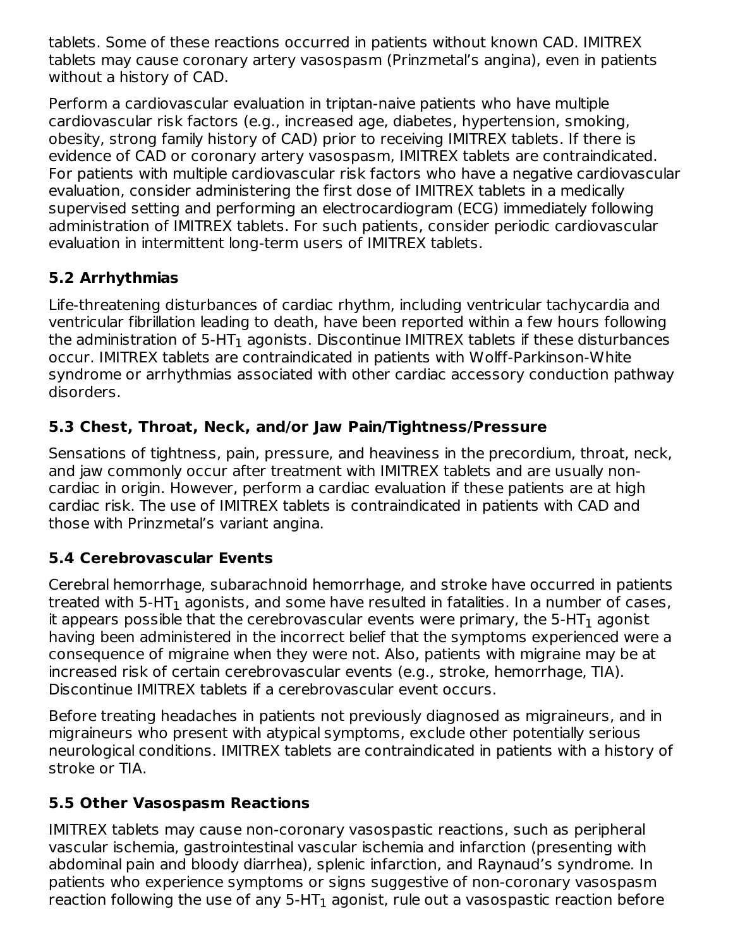tablets. Some of these reactions occurred in patients without known CAD. IMITREX tablets may cause coronary artery vasospasm (Prinzmetal's angina), even in patients without a history of CAD.

Perform a cardiovascular evaluation in triptan-naive patients who have multiple cardiovascular risk factors (e.g., increased age, diabetes, hypertension, smoking, obesity, strong family history of CAD) prior to receiving IMITREX tablets. If there is evidence of CAD or coronary artery vasospasm, IMITREX tablets are contraindicated. For patients with multiple cardiovascular risk factors who have a negative cardiovascular evaluation, consider administering the first dose of IMITREX tablets in a medically supervised setting and performing an electrocardiogram (ECG) immediately following administration of IMITREX tablets. For such patients, consider periodic cardiovascular evaluation in intermittent long-term users of IMITREX tablets.

## **5.2 Arrhythmias**

Life-threatening disturbances of cardiac rhythm, including ventricular tachycardia and ventricular fibrillation leading to death, have been reported within a few hours following the administration of 5-HT $_{\rm 1}$  agonists. Discontinue IMITREX tablets if these disturbances occur. IMITREX tablets are contraindicated in patients with Wolff-Parkinson-White syndrome or arrhythmias associated with other cardiac accessory conduction pathway disorders.

## **5.3 Chest, Throat, Neck, and/or Jaw Pain/Tightness/Pressure**

Sensations of tightness, pain, pressure, and heaviness in the precordium, throat, neck, and jaw commonly occur after treatment with IMITREX tablets and are usually noncardiac in origin. However, perform a cardiac evaluation if these patients are at high cardiac risk. The use of IMITREX tablets is contraindicated in patients with CAD and those with Prinzmetal's variant angina.

## **5.4 Cerebrovascular Events**

Cerebral hemorrhage, subarachnoid hemorrhage, and stroke have occurred in patients treated with 5-HT $_{\rm 1}$  agonists, and some have resulted in fatalities. In a number of cases, it appears possible that the cerebrovascular events were primary, the 5-HT $_{\rm 1}$  agonist having been administered in the incorrect belief that the symptoms experienced were a consequence of migraine when they were not. Also, patients with migraine may be at increased risk of certain cerebrovascular events (e.g., stroke, hemorrhage, TIA). Discontinue IMITREX tablets if a cerebrovascular event occurs.

Before treating headaches in patients not previously diagnosed as migraineurs, and in migraineurs who present with atypical symptoms, exclude other potentially serious neurological conditions. IMITREX tablets are contraindicated in patients with a history of stroke or TIA.

## **5.5 Other Vasospasm Reactions**

IMITREX tablets may cause non-coronary vasospastic reactions, such as peripheral vascular ischemia, gastrointestinal vascular ischemia and infarction (presenting with abdominal pain and bloody diarrhea), splenic infarction, and Raynaud's syndrome. In patients who experience symptoms or signs suggestive of non-coronary vasospasm reaction following the use of any 5-HT $_{\rm 1}$  agonist, rule out a vasospastic reaction before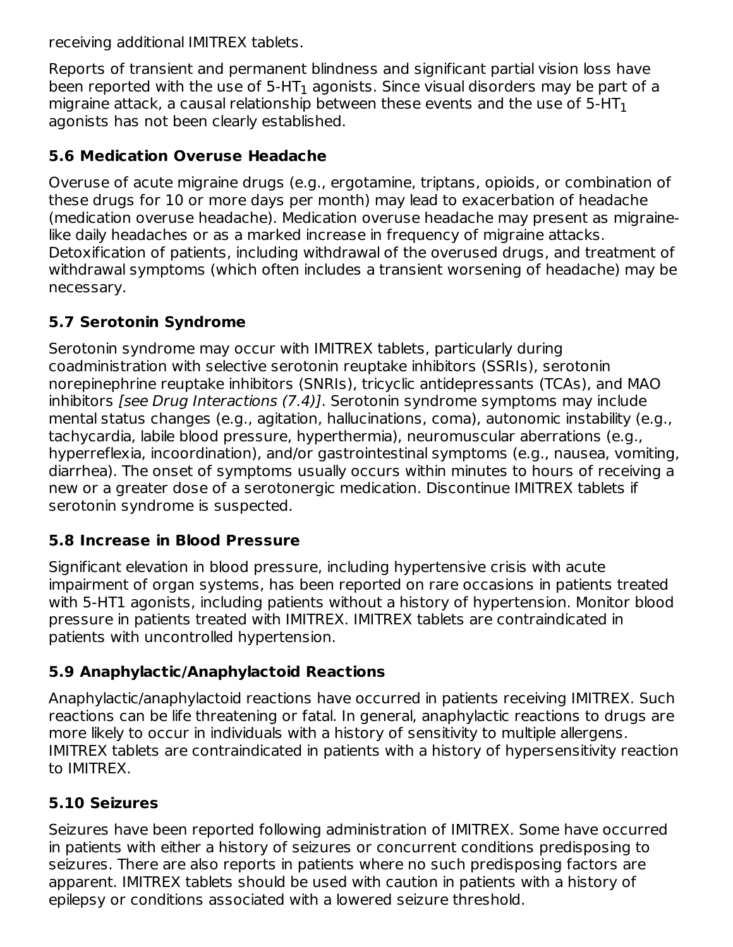receiving additional IMITREX tablets.

Reports of transient and permanent blindness and significant partial vision loss have been reported with the use of 5-HT $_{\rm 1}$  agonists. Since visual disorders may be part of a migraine attack, a causal relationship between these events and the use of 5-HT $_{\rm 1}$ agonists has not been clearly established.

## **5.6 Medication Overuse Headache**

Overuse of acute migraine drugs (e.g., ergotamine, triptans, opioids, or combination of these drugs for 10 or more days per month) may lead to exacerbation of headache (medication overuse headache). Medication overuse headache may present as migrainelike daily headaches or as a marked increase in frequency of migraine attacks. Detoxification of patients, including withdrawal of the overused drugs, and treatment of withdrawal symptoms (which often includes a transient worsening of headache) may be necessary.

## **5.7 Serotonin Syndrome**

Serotonin syndrome may occur with IMITREX tablets, particularly during coadministration with selective serotonin reuptake inhibitors (SSRIs), serotonin norepinephrine reuptake inhibitors (SNRIs), tricyclic antidepressants (TCAs), and MAO inhibitors [see Drug Interactions (7.4)]. Serotonin syndrome symptoms may include mental status changes (e.g., agitation, hallucinations, coma), autonomic instability (e.g., tachycardia, labile blood pressure, hyperthermia), neuromuscular aberrations (e.g., hyperreflexia, incoordination), and/or gastrointestinal symptoms (e.g., nausea, vomiting, diarrhea). The onset of symptoms usually occurs within minutes to hours of receiving a new or a greater dose of a serotonergic medication. Discontinue IMITREX tablets if serotonin syndrome is suspected.

### **5.8 Increase in Blood Pressure**

Significant elevation in blood pressure, including hypertensive crisis with acute impairment of organ systems, has been reported on rare occasions in patients treated with 5-HT1 agonists, including patients without a history of hypertension. Monitor blood pressure in patients treated with IMITREX. IMITREX tablets are contraindicated in patients with uncontrolled hypertension.

## **5.9 Anaphylactic/Anaphylactoid Reactions**

Anaphylactic/anaphylactoid reactions have occurred in patients receiving IMITREX. Such reactions can be life threatening or fatal. In general, anaphylactic reactions to drugs are more likely to occur in individuals with a history of sensitivity to multiple allergens. IMITREX tablets are contraindicated in patients with a history of hypersensitivity reaction to IMITREX.

## **5.10 Seizures**

Seizures have been reported following administration of IMITREX. Some have occurred in patients with either a history of seizures or concurrent conditions predisposing to seizures. There are also reports in patients where no such predisposing factors are apparent. IMITREX tablets should be used with caution in patients with a history of epilepsy or conditions associated with a lowered seizure threshold.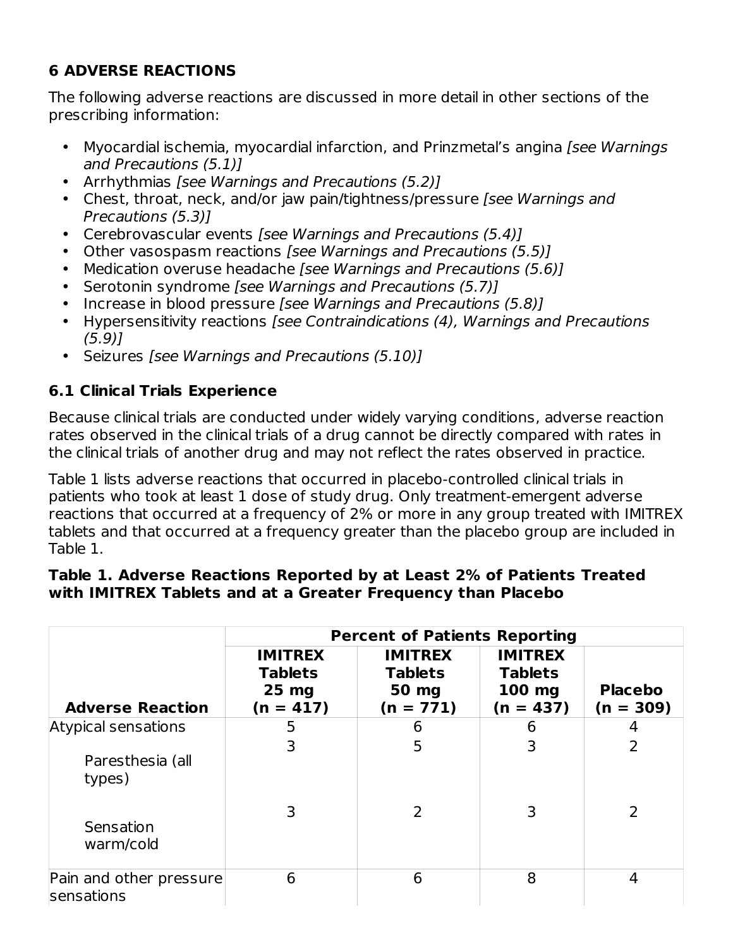## **6 ADVERSE REACTIONS**

The following adverse reactions are discussed in more detail in other sections of the prescribing information:

- Myocardial ischemia, myocardial infarction, and Prinzmetal's angina [see Warnings] and Precautions (5.1)]
- Arrhythmias [see Warnings and Precautions (5.2)]
- Chest, throat, neck, and/or jaw pain/tightness/pressure [see Warnings and Precautions (5.3)]
- Cerebrovascular events [see Warnings and Precautions (5.4)]
- Other vasospasm reactions [see Warnings and Precautions (5.5)]
- Medication overuse headache [see Warnings and Precautions (5.6)]
- Serotonin syndrome [see Warnings and Precautions (5.7)]
- Increase in blood pressure [see Warnings and Precautions (5.8)]
- Hypersensitivity reactions [see Contraindications (4), Warnings and Precautions (5.9)]
- Seizures [see Warnings and Precautions (5.10)]

## **6.1 Clinical Trials Experience**

Because clinical trials are conducted under widely varying conditions, adverse reaction rates observed in the clinical trials of a drug cannot be directly compared with rates in the clinical trials of another drug and may not reflect the rates observed in practice.

Table 1 lists adverse reactions that occurred in placebo-controlled clinical trials in patients who took at least 1 dose of study drug. Only treatment-emergent adverse reactions that occurred at a frequency of 2% or more in any group treated with IMITREX tablets and that occurred at a frequency greater than the placebo group are included in Table 1.

#### **Table 1. Adverse Reactions Reported by at Least 2% of Patients Treated with IMITREX Tablets and at a Greater Frequency than Placebo**

|                                                   | <b>Percent of Patients Reporting</b>                       |                                                          |                                                           |                               |  |  |
|---------------------------------------------------|------------------------------------------------------------|----------------------------------------------------------|-----------------------------------------------------------|-------------------------------|--|--|
| <b>Adverse Reaction</b>                           | <b>IMITREX</b><br><b>Tablets</b><br>$25$ mg<br>$(n = 417)$ | <b>IMITREX</b><br><b>Tablets</b><br>50 mg<br>$(n = 771)$ | <b>IMITREX</b><br><b>Tablets</b><br>100 mg<br>$(n = 437)$ | <b>Placebo</b><br>$(n = 309)$ |  |  |
| Atypical sensations<br>Paresthesia (all<br>types) | 5<br>3                                                     | 6<br>5                                                   | 6<br>3                                                    | 4<br>2                        |  |  |
| Sensation<br>warm/cold                            | 3                                                          | $\overline{2}$                                           | 3                                                         | 2                             |  |  |
| Pain and other pressure<br>sensations             | 6                                                          | 6                                                        | 8                                                         | 4                             |  |  |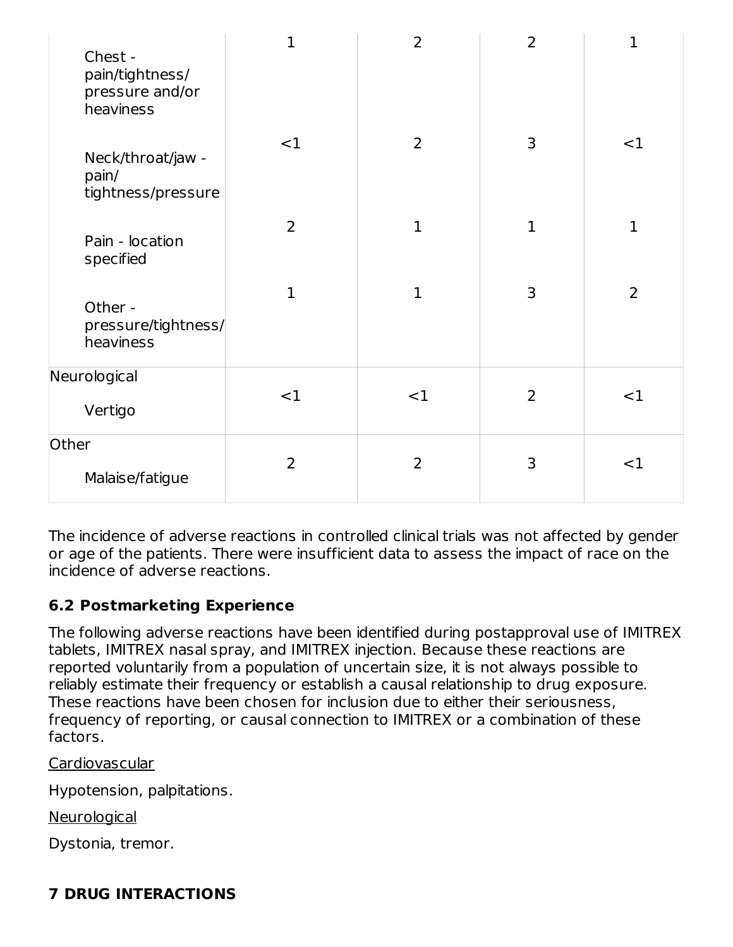| Chest -<br>pain/tightness/<br>pressure and/or<br>heaviness | $\mathbf 1$    | $\overline{2}$ | 2            | $\mathbf{1}$   |
|------------------------------------------------------------|----------------|----------------|--------------|----------------|
| Neck/throat/jaw -<br>pain/<br>tightness/pressure           | $<$ 1          | $\overline{2}$ | 3            | <1             |
| Pain - location<br>specified                               | $\overline{2}$ | $\mathbf 1$    | $\mathbf{1}$ | $\mathbf{1}$   |
| Other -<br>pressure/tightness/<br>heaviness                | $\mathbf{1}$   | $\mathbf 1$    | 3            | $\overline{2}$ |
| Neurological                                               | <1             | <1             | 2            | <1             |
| Vertigo                                                    |                |                |              |                |
| Other<br>Malaise/fatigue                                   | $\overline{2}$ | 2              | 3            | <1             |

The incidence of adverse reactions in controlled clinical trials was not affected by gender or age of the patients. There were insufficient data to assess the impact of race on the incidence of adverse reactions.

## **6.2 Postmarketing Experience**

The following adverse reactions have been identified during postapproval use of IMITREX tablets, IMITREX nasal spray, and IMITREX injection. Because these reactions are reported voluntarily from a population of uncertain size, it is not always possible to reliably estimate their frequency or establish a causal relationship to drug exposure. These reactions have been chosen for inclusion due to either their seriousness, frequency of reporting, or causal connection to IMITREX or a combination of these factors.

Cardiovascular

Hypotension, palpitations.

**Neurological** 

Dystonia, tremor.

## **7 DRUG INTERACTIONS**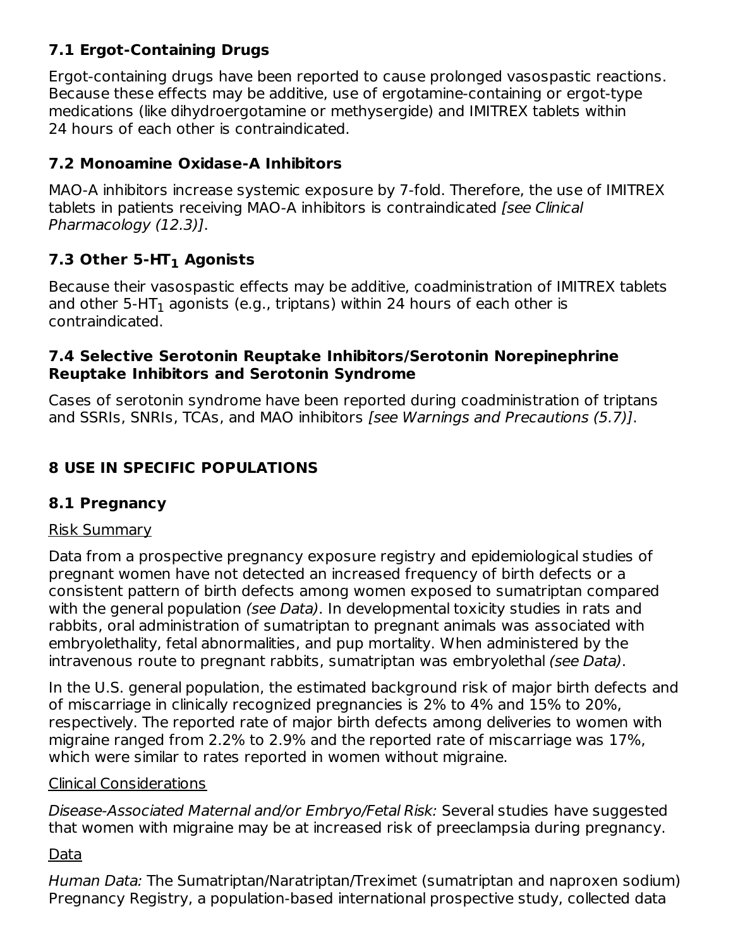## **7.1 Ergot-Containing Drugs**

Ergot-containing drugs have been reported to cause prolonged vasospastic reactions. Because these effects may be additive, use of ergotamine-containing or ergot-type medications (like dihydroergotamine or methysergide) and IMITREX tablets within 24 hours of each other is contraindicated.

## **7.2 Monoamine Oxidase-A Inhibitors**

MAO‑A inhibitors increase systemic exposure by 7-fold. Therefore, the use of IMITREX tablets in patients receiving MAO‑A inhibitors is contraindicated [see Clinical Pharmacology (12.3)].

## **7.3 Other 5-HT Agonists 1**

Because their vasospastic effects may be additive, coadministration of IMITREX tablets and other 5-HT $_{\rm 1}$  agonists (e.g., triptans) within 24 hours of each other is contraindicated.

#### **7.4 Selective Serotonin Reuptake Inhibitors/Serotonin Norepinephrine Reuptake Inhibitors and Serotonin Syndrome**

Cases of serotonin syndrome have been reported during coadministration of triptans and SSRIs, SNRIs, TCAs, and MAO inhibitors [see Warnings and Precautions (5.7)].

## **8 USE IN SPECIFIC POPULATIONS**

### **8.1 Pregnancy**

#### Risk Summary

Data from a prospective pregnancy exposure registry and epidemiological studies of pregnant women have not detected an increased frequency of birth defects or a consistent pattern of birth defects among women exposed to sumatriptan compared with the general population *(see Data)*. In developmental toxicity studies in rats and rabbits, oral administration of sumatriptan to pregnant animals was associated with embryolethality, fetal abnormalities, and pup mortality. When administered by the intravenous route to pregnant rabbits, sumatriptan was embryolethal (see Data).

In the U.S. general population, the estimated background risk of major birth defects and of miscarriage in clinically recognized pregnancies is 2% to 4% and 15% to 20%, respectively. The reported rate of major birth defects among deliveries to women with migraine ranged from 2.2% to 2.9% and the reported rate of miscarriage was 17%, which were similar to rates reported in women without migraine.

#### Clinical Considerations

Disease-Associated Maternal and/or Embryo/Fetal Risk: Several studies have suggested that women with migraine may be at increased risk of preeclampsia during pregnancy.

### Data

Human Data: The Sumatriptan/Naratriptan/Treximet (sumatriptan and naproxen sodium) Pregnancy Registry, a population-based international prospective study, collected data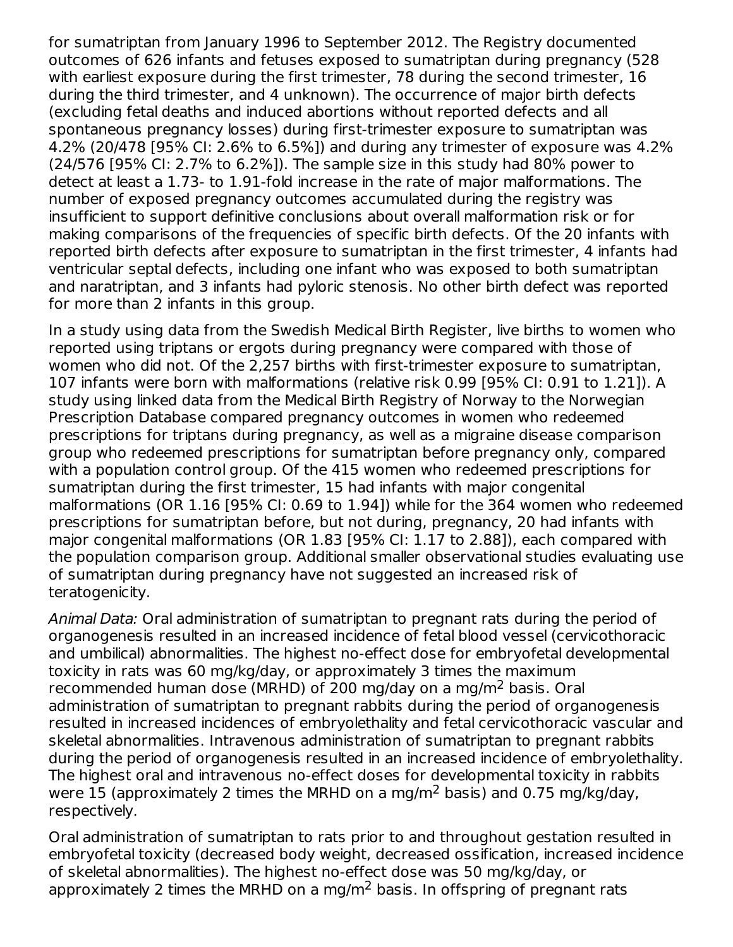for sumatriptan from January 1996 to September 2012. The Registry documented outcomes of 626 infants and fetuses exposed to sumatriptan during pregnancy (528 with earliest exposure during the first trimester, 78 during the second trimester, 16 during the third trimester, and 4 unknown). The occurrence of major birth defects (excluding fetal deaths and induced abortions without reported defects and all spontaneous pregnancy losses) during first-trimester exposure to sumatriptan was 4.2% (20/478 [95% CI: 2.6% to 6.5%]) and during any trimester of exposure was 4.2% (24/576 [95% CI: 2.7% to 6.2%]). The sample size in this study had 80% power to detect at least a 1.73- to 1.91-fold increase in the rate of major malformations. The number of exposed pregnancy outcomes accumulated during the registry was insufficient to support definitive conclusions about overall malformation risk or for making comparisons of the frequencies of specific birth defects. Of the 20 infants with reported birth defects after exposure to sumatriptan in the first trimester, 4 infants had ventricular septal defects, including one infant who was exposed to both sumatriptan and naratriptan, and 3 infants had pyloric stenosis. No other birth defect was reported for more than 2 infants in this group.

In a study using data from the Swedish Medical Birth Register, live births to women who reported using triptans or ergots during pregnancy were compared with those of women who did not. Of the 2,257 births with first-trimester exposure to sumatriptan, 107 infants were born with malformations (relative risk 0.99 [95% CI: 0.91 to 1.21]). A study using linked data from the Medical Birth Registry of Norway to the Norwegian Prescription Database compared pregnancy outcomes in women who redeemed prescriptions for triptans during pregnancy, as well as a migraine disease comparison group who redeemed prescriptions for sumatriptan before pregnancy only, compared with a population control group. Of the 415 women who redeemed prescriptions for sumatriptan during the first trimester, 15 had infants with major congenital malformations (OR 1.16 [95% CI: 0.69 to 1.94]) while for the 364 women who redeemed prescriptions for sumatriptan before, but not during, pregnancy, 20 had infants with major congenital malformations (OR 1.83 [95% CI: 1.17 to 2.88]), each compared with the population comparison group. Additional smaller observational studies evaluating use of sumatriptan during pregnancy have not suggested an increased risk of teratogenicity.

Animal Data: Oral administration of sumatriptan to pregnant rats during the period of organogenesis resulted in an increased incidence of fetal blood vessel (cervicothoracic and umbilical) abnormalities. The highest no-effect dose for embryofetal developmental toxicity in rats was 60 mg/kg/day, or approximately 3 times the maximum recommended human dose (MRHD) of 200 mg/day on a mg/m<sup>2</sup> basis. Oral administration of sumatriptan to pregnant rabbits during the period of organogenesis resulted in increased incidences of embryolethality and fetal cervicothoracic vascular and skeletal abnormalities. Intravenous administration of sumatriptan to pregnant rabbits during the period of organogenesis resulted in an increased incidence of embryolethality. The highest oral and intravenous no-effect doses for developmental toxicity in rabbits were 15 (approximately 2 times the MRHD on a mg/m<sup>2</sup> basis) and 0.75 mg/kg/day, respectively.

Oral administration of sumatriptan to rats prior to and throughout gestation resulted in embryofetal toxicity (decreased body weight, decreased ossification, increased incidence of skeletal abnormalities). The highest no-effect dose was 50 mg/kg/day, or approximately 2 times the MRHD on a mg/m<sup>2</sup> basis. In offspring of pregnant rats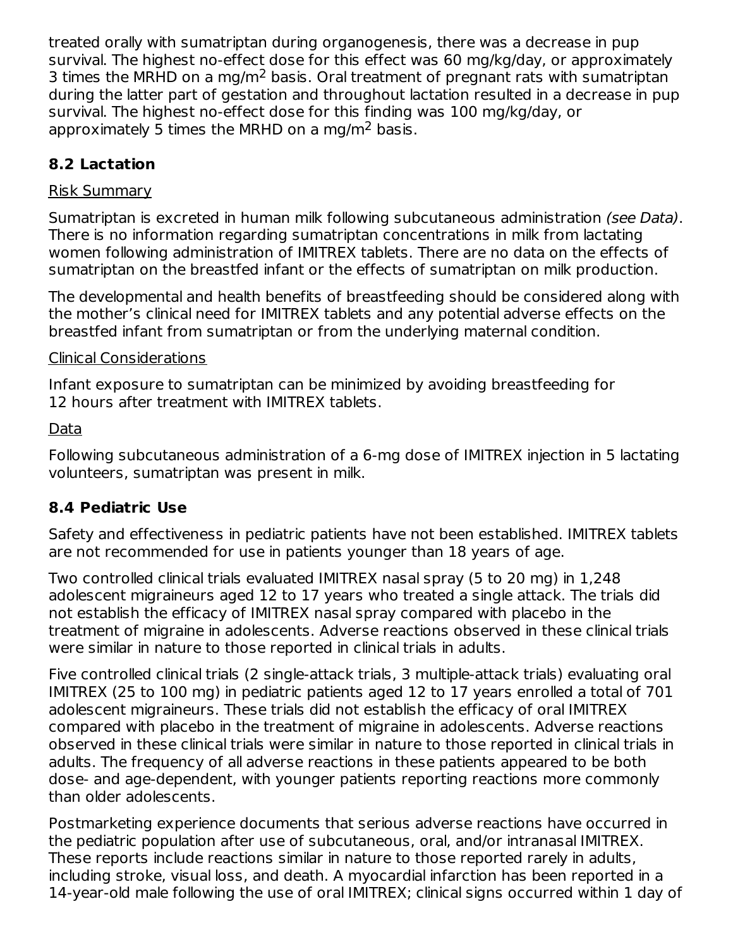treated orally with sumatriptan during organogenesis, there was a decrease in pup survival. The highest no-effect dose for this effect was 60 mg/kg/day, or approximately 3 times the MRHD on a mg/m<sup>2</sup> basis. Oral treatment of pregnant rats with sumatriptan during the latter part of gestation and throughout lactation resulted in a decrease in pup survival. The highest no-effect dose for this finding was 100 mg/kg/day, or approximately 5 times the MRHD on a mg/m<sup>2</sup> basis.

## **8.2 Lactation**

### Risk Summary

Sumatriptan is excreted in human milk following subcutaneous administration (see Data). There is no information regarding sumatriptan concentrations in milk from lactating women following administration of IMITREX tablets. There are no data on the effects of sumatriptan on the breastfed infant or the effects of sumatriptan on milk production.

The developmental and health benefits of breastfeeding should be considered along with the mother's clinical need for IMITREX tablets and any potential adverse effects on the breastfed infant from sumatriptan or from the underlying maternal condition.

#### Clinical Considerations

Infant exposure to sumatriptan can be minimized by avoiding breastfeeding for 12 hours after treatment with IMITREX tablets.

### Data

Following subcutaneous administration of a 6-mg dose of IMITREX injection in 5 lactating volunteers, sumatriptan was present in milk.

## **8.4 Pediatric Use**

Safety and effectiveness in pediatric patients have not been established. IMITREX tablets are not recommended for use in patients younger than 18 years of age.

Two controlled clinical trials evaluated IMITREX nasal spray (5 to 20 mg) in 1,248 adolescent migraineurs aged 12 to 17 years who treated a single attack. The trials did not establish the efficacy of IMITREX nasal spray compared with placebo in the treatment of migraine in adolescents. Adverse reactions observed in these clinical trials were similar in nature to those reported in clinical trials in adults.

Five controlled clinical trials (2 single-attack trials, 3 multiple-attack trials) evaluating oral IMITREX (25 to 100 mg) in pediatric patients aged 12 to 17 years enrolled a total of 701 adolescent migraineurs. These trials did not establish the efficacy of oral IMITREX compared with placebo in the treatment of migraine in adolescents. Adverse reactions observed in these clinical trials were similar in nature to those reported in clinical trials in adults. The frequency of all adverse reactions in these patients appeared to be both dose- and age‑dependent, with younger patients reporting reactions more commonly than older adolescents.

Postmarketing experience documents that serious adverse reactions have occurred in the pediatric population after use of subcutaneous, oral, and/or intranasal IMITREX. These reports include reactions similar in nature to those reported rarely in adults, including stroke, visual loss, and death. A myocardial infarction has been reported in a 14‑year‑old male following the use of oral IMITREX; clinical signs occurred within 1 day of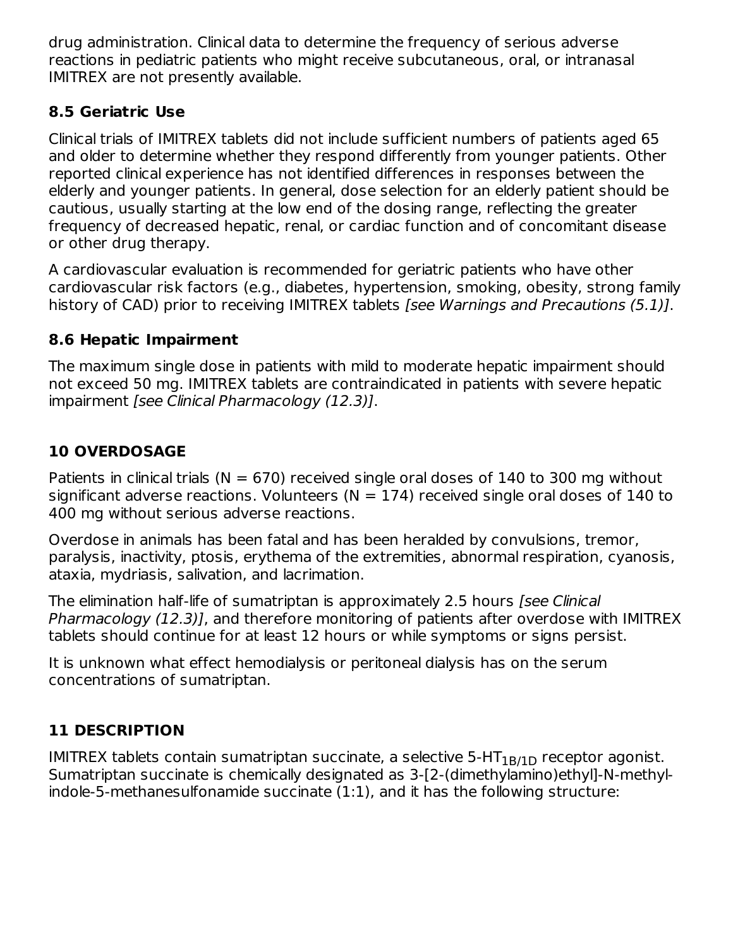drug administration. Clinical data to determine the frequency of serious adverse reactions in pediatric patients who might receive subcutaneous, oral, or intranasal IMITREX are not presently available.

## **8.5 Geriatric Use**

Clinical trials of IMITREX tablets did not include sufficient numbers of patients aged 65 and older to determine whether they respond differently from younger patients. Other reported clinical experience has not identified differences in responses between the elderly and younger patients. In general, dose selection for an elderly patient should be cautious, usually starting at the low end of the dosing range, reflecting the greater frequency of decreased hepatic, renal, or cardiac function and of concomitant disease or other drug therapy.

A cardiovascular evaluation is recommended for geriatric patients who have other cardiovascular risk factors (e.g., diabetes, hypertension, smoking, obesity, strong family history of CAD) prior to receiving IMITREX tablets [see Warnings and Precautions (5.1)].

## **8.6 Hepatic Impairment**

The maximum single dose in patients with mild to moderate hepatic impairment should not exceed 50 mg. IMITREX tablets are contraindicated in patients with severe hepatic impairment [see Clinical Pharmacology (12.3)].

# **10 OVERDOSAGE**

Patients in clinical trials ( $N = 670$ ) received single oral doses of 140 to 300 mg without significant adverse reactions. Volunteers ( $N = 174$ ) received single oral doses of 140 to 400 mg without serious adverse reactions.

Overdose in animals has been fatal and has been heralded by convulsions, tremor, paralysis, inactivity, ptosis, erythema of the extremities, abnormal respiration, cyanosis, ataxia, mydriasis, salivation, and lacrimation.

The elimination half-life of sumatriptan is approximately 2.5 hours *[see Clinical*] Pharmacology (12.3)], and therefore monitoring of patients after overdose with IMITREX tablets should continue for at least 12 hours or while symptoms or signs persist.

It is unknown what effect hemodialysis or peritoneal dialysis has on the serum concentrations of sumatriptan.

# **11 DESCRIPTION**

IMITREX tablets contain sumatriptan succinate, a selective 5-HT $_{\rm 1B/1D}$  receptor agonist. Sumatriptan succinate is chemically designated as 3-[2-(dimethylamino)ethyl]-N-methylindole-5-methanesulfonamide succinate (1:1), and it has the following structure: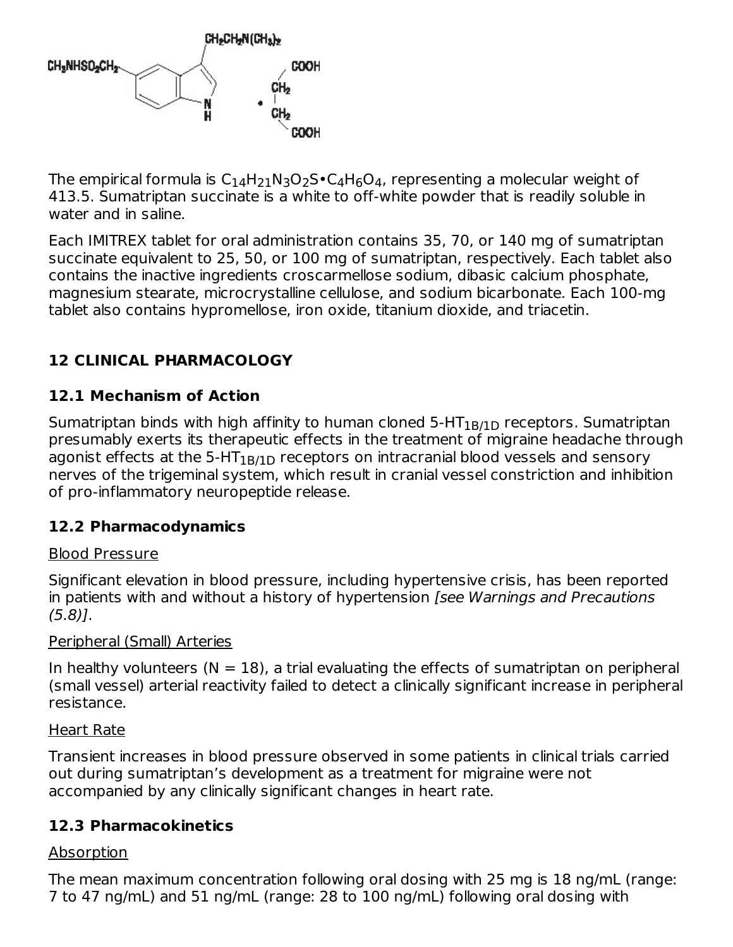

The empirical formula is  $\mathsf{C}_{14}\mathsf{H}_{21}\mathsf{N}_3\mathsf{O}_2\mathsf{S}\bullet \mathsf{C}_4\mathsf{H}_6\mathsf{O}_4$ , representing a molecular weight of 413.5. Sumatriptan succinate is a white to off‑white powder that is readily soluble in water and in saline.

Each IMITREX tablet for oral administration contains 35, 70, or 140 mg of sumatriptan succinate equivalent to 25, 50, or 100 mg of sumatriptan, respectively. Each tablet also contains the inactive ingredients croscarmellose sodium, dibasic calcium phosphate, magnesium stearate, microcrystalline cellulose, and sodium bicarbonate. Each 100-mg tablet also contains hypromellose, iron oxide, titanium dioxide, and triacetin.

## **12 CLINICAL PHARMACOLOGY**

## **12.1 Mechanism of Action**

Sumatriptan binds with high affinity to human cloned 5-HT $_{\rm 1B/1D}$  receptors. Sumatriptan presumably exerts its therapeutic effects in the treatment of migraine headache through agonist effects at the 5-HT $_{\rm 1B/1D}$  receptors on intracranial blood vessels and sensory nerves of the trigeminal system, which result in cranial vessel constriction and inhibition of pro‑inflammatory neuropeptide release.

#### **12.2 Pharmacodynamics**

#### Blood Pressure

Significant elevation in blood pressure, including hypertensive crisis, has been reported in patients with and without a history of hypertension [see Warnings and Precautions (5.8)].

#### Peripheral (Small) Arteries

In healthy volunteers  $(N = 18)$ , a trial evaluating the effects of sumatriptan on peripheral (small vessel) arterial reactivity failed to detect a clinically significant increase in peripheral resistance.

#### Heart Rate

Transient increases in blood pressure observed in some patients in clinical trials carried out during sumatriptan's development as a treatment for migraine were not accompanied by any clinically significant changes in heart rate.

#### **12.3 Pharmacokinetics**

### Absorption

The mean maximum concentration following oral dosing with 25 mg is 18 ng/mL (range: 7 to 47 ng/mL) and 51 ng/mL (range: 28 to 100 ng/mL) following oral dosing with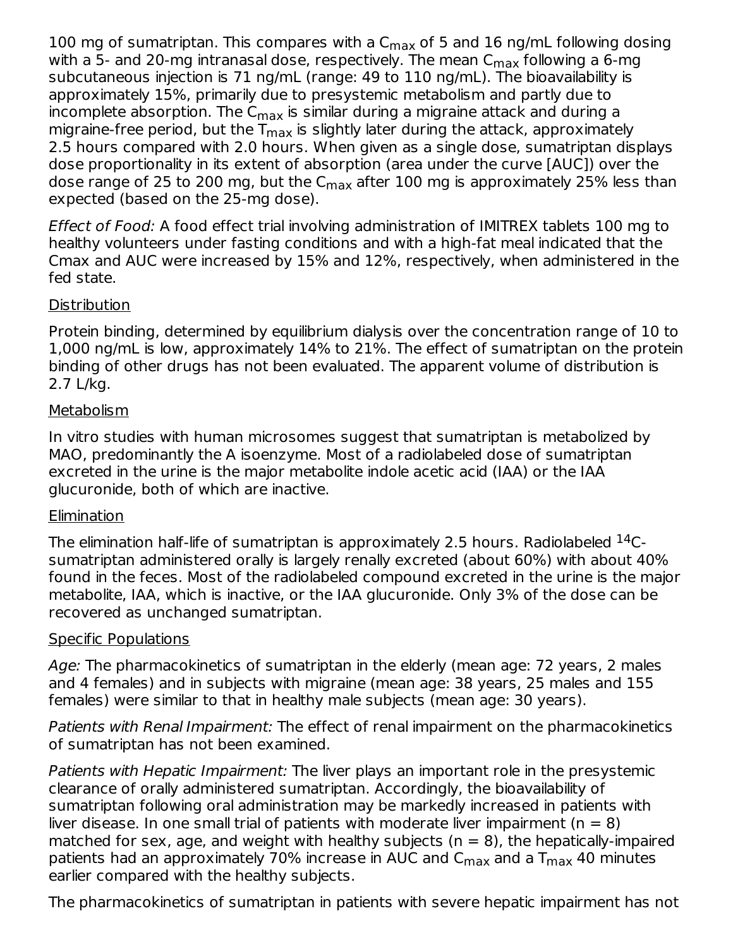100 mg of sumatriptan. This compares with a  $\mathsf{C}_{\mathsf{max}}$  of 5 and 16 ng/mL following dosing with a 5- and 20-mg intranasal dose, respectively. The mean C<sub>max</sub> following a 6-mg subcutaneous injection is 71 ng/mL (range: 49 to 110 ng/mL). The bioavailability is approximately 15%, primarily due to presystemic metabolism and partly due to incomplete absorption. The C $_{\sf max}$  is similar during a migraine attack and during a migraine-free period, but the T<sub>max</sub> is slightly later during the attack, approximately 2.5 hours compared with 2.0 hours. When given as a single dose, sumatriptan displays dose proportionality in its extent of absorption (area under the curve [AUC]) over the dose range of 25 to 200 mg, but the C<sub>max</sub> after 100 mg is approximately 25% less than expected (based on the 25‑mg dose).

Effect of Food: A food effect trial involving administration of IMITREX tablets 100 mg to healthy volunteers under fasting conditions and with a high-fat meal indicated that the Cmax and AUC were increased by 15% and 12%, respectively, when administered in the fed state.

#### Distribution

Protein binding, determined by equilibrium dialysis over the concentration range of 10 to 1,000 ng/mL is low, approximately 14% to 21%. The effect of sumatriptan on the protein binding of other drugs has not been evaluated. The apparent volume of distribution is 2.7 L/kg.

#### **Metabolism**

In vitro studies with human microsomes suggest that sumatriptan is metabolized by MAO, predominantly the A isoenzyme. Most of a radiolabeled dose of sumatriptan excreted in the urine is the major metabolite indole acetic acid (IAA) or the IAA glucuronide, both of which are inactive.

#### **Elimination**

The elimination half-life of sumatriptan is approximately 2.5 hours. Radiolabeled  $^{14}\mathrm{C}\text{-}$ sumatriptan administered orally is largely renally excreted (about 60%) with about 40% found in the feces. Most of the radiolabeled compound excreted in the urine is the major metabolite, IAA, which is inactive, or the IAA glucuronide. Only 3% of the dose can be recovered as unchanged sumatriptan.

#### Specific Populations

Age: The pharmacokinetics of sumatriptan in the elderly (mean age: 72 years, 2 males and 4 females) and in subjects with migraine (mean age: 38 years, 25 males and 155 females) were similar to that in healthy male subjects (mean age: 30 years).

Patients with Renal Impairment: The effect of renal impairment on the pharmacokinetics of sumatriptan has not been examined.

Patients with Hepatic Impairment: The liver plays an important role in the presystemic clearance of orally administered sumatriptan. Accordingly, the bioavailability of sumatriptan following oral administration may be markedly increased in patients with liver disease. In one small trial of patients with moderate liver impairment ( $n = 8$ ) matched for sex, age, and weight with healthy subjects ( $n = 8$ ), the hepatically-impaired patients had an approximately 70% increase in AUC and C $_{\sf max}$  and a T $_{\sf max}$  40 minutes earlier compared with the healthy subjects.

The pharmacokinetics of sumatriptan in patients with severe hepatic impairment has not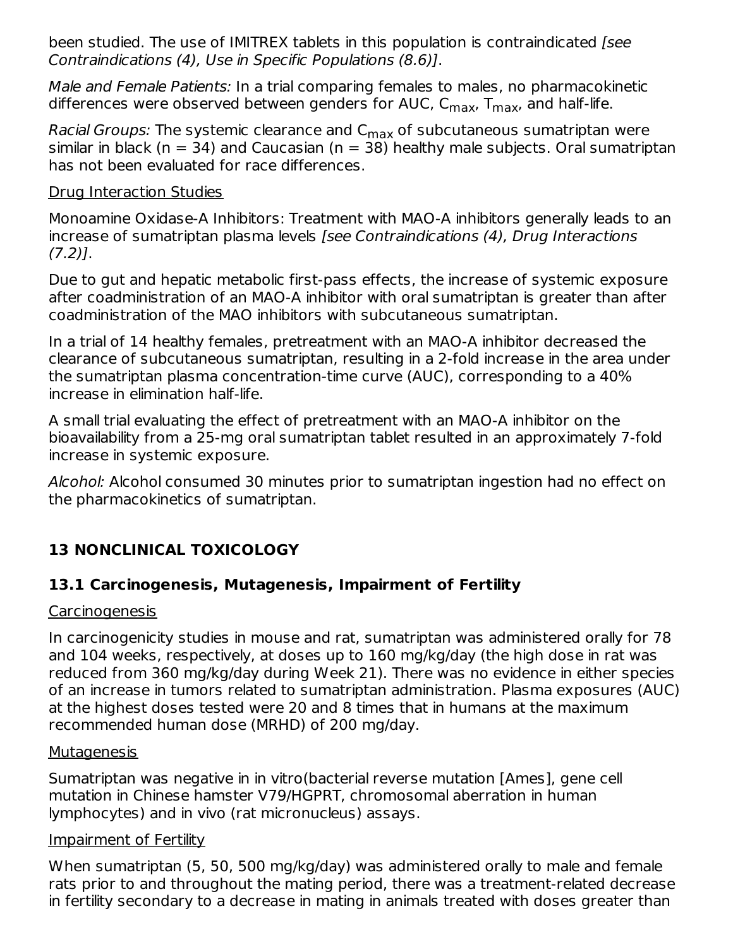been studied. The use of IMITREX tablets in this population is contraindicated [see Contraindications (4), Use in Specific Populations (8.6)].

Male and Female Patients: In a trial comparing females to males, no pharmacokinetic differences were observed between genders for AUC, C<sub>max</sub>, T<sub>max</sub>, and half-life.

*Racial Groups:* The systemic clearance and C<sub>max</sub> of subcutaneous sumatriptan were similar in black ( $n = 34$ ) and Caucasian ( $n = 38$ ) healthy male subjects. Oral sumatriptan has not been evaluated for race differences.

#### Drug Interaction Studies

Monoamine Oxidase-A Inhibitors: Treatment with MAO-A inhibitors generally leads to an increase of sumatriptan plasma levels [see Contraindications (4), Drug Interactions  $(7.2)$ ].

Due to gut and hepatic metabolic first-pass effects, the increase of systemic exposure after coadministration of an MAO-A inhibitor with oral sumatriptan is greater than after coadministration of the MAO inhibitors with subcutaneous sumatriptan.

In a trial of 14 healthy females, pretreatment with an MAO-A inhibitor decreased the clearance of subcutaneous sumatriptan, resulting in a 2-fold increase in the area under the sumatriptan plasma concentration-time curve (AUC), corresponding to a 40% increase in elimination half-life.

A small trial evaluating the effect of pretreatment with an MAO-A inhibitor on the bioavailability from a 25-mg oral sumatriptan tablet resulted in an approximately 7-fold increase in systemic exposure.

Alcohol: Alcohol consumed 30 minutes prior to sumatriptan ingestion had no effect on the pharmacokinetics of sumatriptan.

## **13 NONCLINICAL TOXICOLOGY**

### **13.1 Carcinogenesis, Mutagenesis, Impairment of Fertility**

#### **Carcinogenesis**

In carcinogenicity studies in mouse and rat, sumatriptan was administered orally for 78 and 104 weeks, respectively, at doses up to 160 mg/kg/day (the high dose in rat was reduced from 360 mg/kg/day during Week 21). There was no evidence in either species of an increase in tumors related to sumatriptan administration. Plasma exposures (AUC) at the highest doses tested were 20 and 8 times that in humans at the maximum recommended human dose (MRHD) of 200 mg/day.

#### Mutagenesis

Sumatriptan was negative in in vitro(bacterial reverse mutation [Ames], gene cell mutation in Chinese hamster V79/HGPRT, chromosomal aberration in human lymphocytes) and in vivo (rat micronucleus) assays.

#### Impairment of Fertility

When sumatriptan (5, 50, 500 mg/kg/day) was administered orally to male and female rats prior to and throughout the mating period, there was a treatment-related decrease in fertility secondary to a decrease in mating in animals treated with doses greater than 2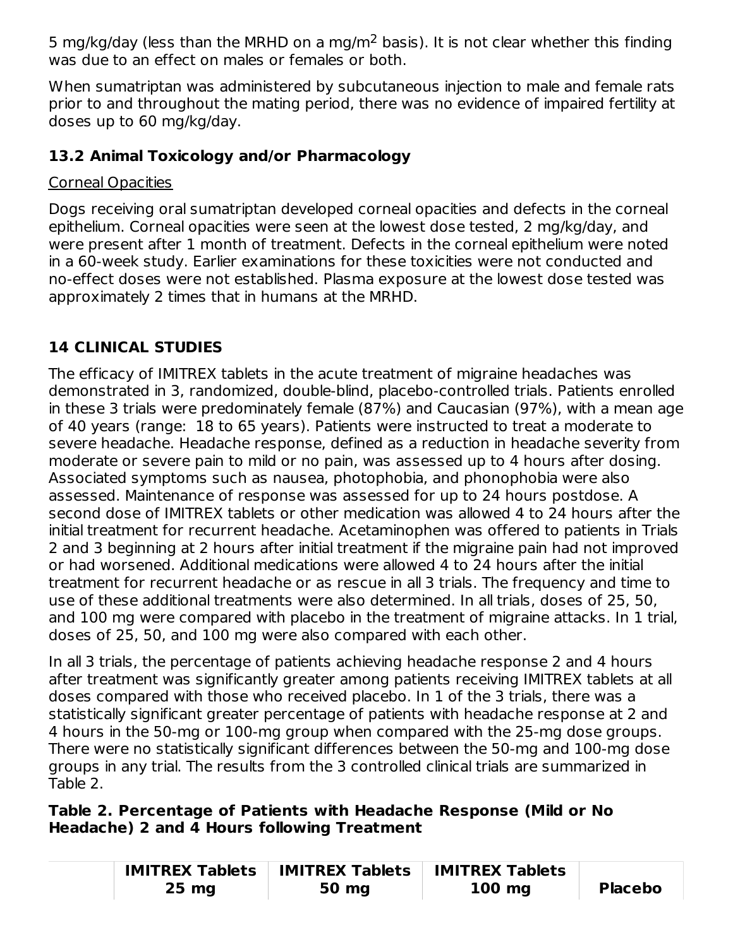5 mg/kg/day (less than the MRHD on a mg/m<sup>2</sup> basis). It is not clear whether this finding was due to an effect on males or females or both.

When sumatriptan was administered by subcutaneous injection to male and female rats prior to and throughout the mating period, there was no evidence of impaired fertility at doses up to 60 mg/kg/day.

## **13.2 Animal Toxicology and/or Pharmacology**

# Corneal Opacities

Dogs receiving oral sumatriptan developed corneal opacities and defects in the corneal epithelium. Corneal opacities were seen at the lowest dose tested, 2 mg/kg/day, and were present after 1 month of treatment. Defects in the corneal epithelium were noted in a 60‑week study. Earlier examinations for these toxicities were not conducted and no‑effect doses were not established. Plasma exposure at the lowest dose tested was approximately 2 times that in humans at the MRHD.

# **14 CLINICAL STUDIES**

The efficacy of IMITREX tablets in the acute treatment of migraine headaches was demonstrated in 3, randomized, double-blind, placebo-controlled trials. Patients enrolled in these 3 trials were predominately female (87%) and Caucasian (97%), with a mean age of 40 years (range: 18 to 65 years). Patients were instructed to treat a moderate to severe headache. Headache response, defined as a reduction in headache severity from moderate or severe pain to mild or no pain, was assessed up to 4 hours after dosing. Associated symptoms such as nausea, photophobia, and phonophobia were also assessed. Maintenance of response was assessed for up to 24 hours postdose. A second dose of IMITREX tablets or other medication was allowed 4 to 24 hours after the initial treatment for recurrent headache. Acetaminophen was offered to patients in Trials 2 and 3 beginning at 2 hours after initial treatment if the migraine pain had not improved or had worsened. Additional medications were allowed 4 to 24 hours after the initial treatment for recurrent headache or as rescue in all 3 trials. The frequency and time to use of these additional treatments were also determined. In all trials, doses of 25, 50, and 100 mg were compared with placebo in the treatment of migraine attacks. In 1 trial, doses of 25, 50, and 100 mg were also compared with each other.

In all 3 trials, the percentage of patients achieving headache response 2 and 4 hours after treatment was significantly greater among patients receiving IMITREX tablets at all doses compared with those who received placebo. In 1 of the 3 trials, there was a statistically significant greater percentage of patients with headache response at 2 and 4 hours in the 50-mg or 100-mg group when compared with the 25-mg dose groups. There were no statistically significant differences between the 50-mg and 100-mg dose groups in any trial. The results from the 3 controlled clinical trials are summarized in Table 2.

**Table 2. Percentage of Patients with Headache Response (Mild or No Headache) 2 and 4 Hours following Treatment**

|                   | <b>IMITREX Tablets   IMITREX Tablets</b> | <b>IMITREX Tablets</b> |                |
|-------------------|------------------------------------------|------------------------|----------------|
| $25 \, \text{mg}$ | 50 mg                                    | $100$ mg               | <b>Placebo</b> |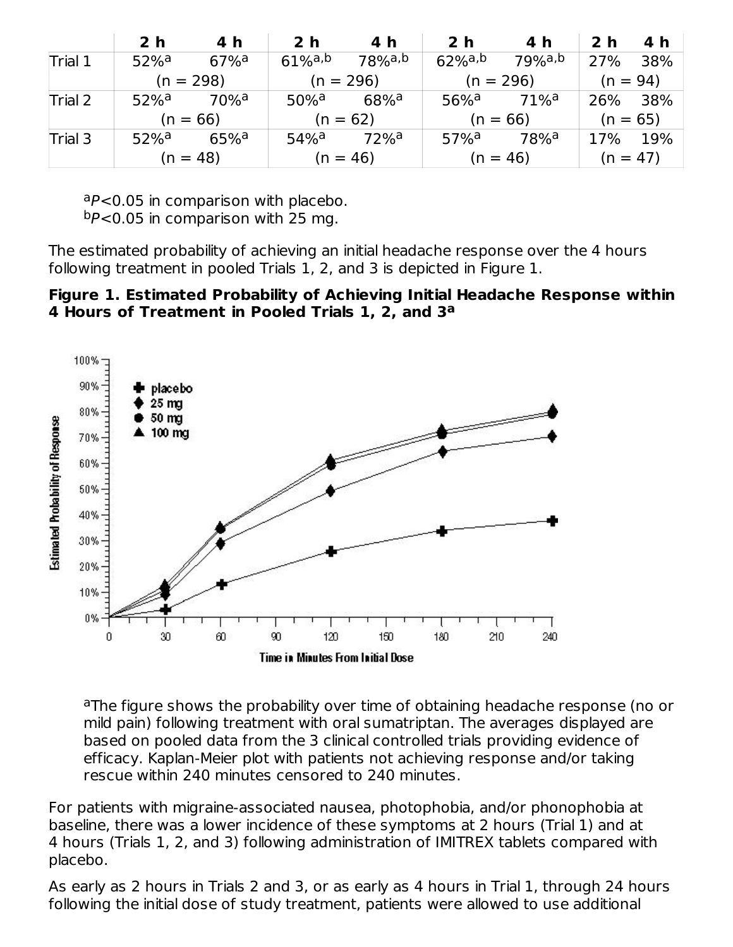|         | 2 <sub>h</sub>     | 4 h                 | 2 <sub>h</sub>        | 4 h                | 2 <sub>h</sub>        | 4 h              | 2 <sub>h</sub> | 4 h        |
|---------|--------------------|---------------------|-----------------------|--------------------|-----------------------|------------------|----------------|------------|
| Trial 1 | $52%$ <sup>a</sup> | $67\%$ <sup>a</sup> | $61\%$ <sup>a,b</sup> | $78%$ a,b          | $62\%$ <sup>a,b</sup> | 79%a,b           | 27%            | 38%        |
|         |                    | $(n = 298)$         |                       | $(n = 296)$        |                       | $(n = 296)$      | $(n = 94)$     |            |
| Trial 2 | $52%$ <sup>a</sup> | 70% <sup>a</sup>    | $50\%$ <sup>a</sup>   | $68%$ <sup>a</sup> | 56% <sup>a</sup>      | 71% <sup>a</sup> | 26%            | 38%        |
|         |                    | $(n = 66)$          |                       | $(n = 62)$         |                       | $(n = 66)$       | $(n = 65)$     |            |
| Trial 3 | $52%$ <sup>a</sup> | $65%$ <sup>a</sup>  | $54\%$ <sup>a</sup>   | 72% <sup>a</sup>   | $57\%$ <sup>a</sup>   | 78% <sup>a</sup> | 17%            | 19%        |
|         | $(n = 48)$         |                     |                       | $(n = 46)$         |                       | $(n = 46)$       |                | $(n = 47)$ |

 $P$  <0.05 in comparison with placebo.  $bP<0.05$  in comparison with 25 mg.

The estimated probability of achieving an initial headache response over the 4 hours following treatment in pooled Trials 1, 2, and 3 is depicted in Figure 1.

#### **Figure 1. Estimated Probability of Achieving Initial Headache Response within 4 Hours of Treatment in Pooled Trials 1, 2, and 3 a**



<sup>a</sup>The figure shows the probability over time of obtaining headache response (no or mild pain) following treatment with oral sumatriptan. The averages displayed are based on pooled data from the 3 clinical controlled trials providing evidence of efficacy. Kaplan‑Meier plot with patients not achieving response and/or taking rescue within 240 minutes censored to 240 minutes.

For patients with migraine-associated nausea, photophobia, and/or phonophobia at baseline, there was a lower incidence of these symptoms at 2 hours (Trial 1) and at 4 hours (Trials 1, 2, and 3) following administration of IMITREX tablets compared with placebo.

As early as 2 hours in Trials 2 and 3, or as early as 4 hours in Trial 1, through 24 hours following the initial dose of study treatment, patients were allowed to use additional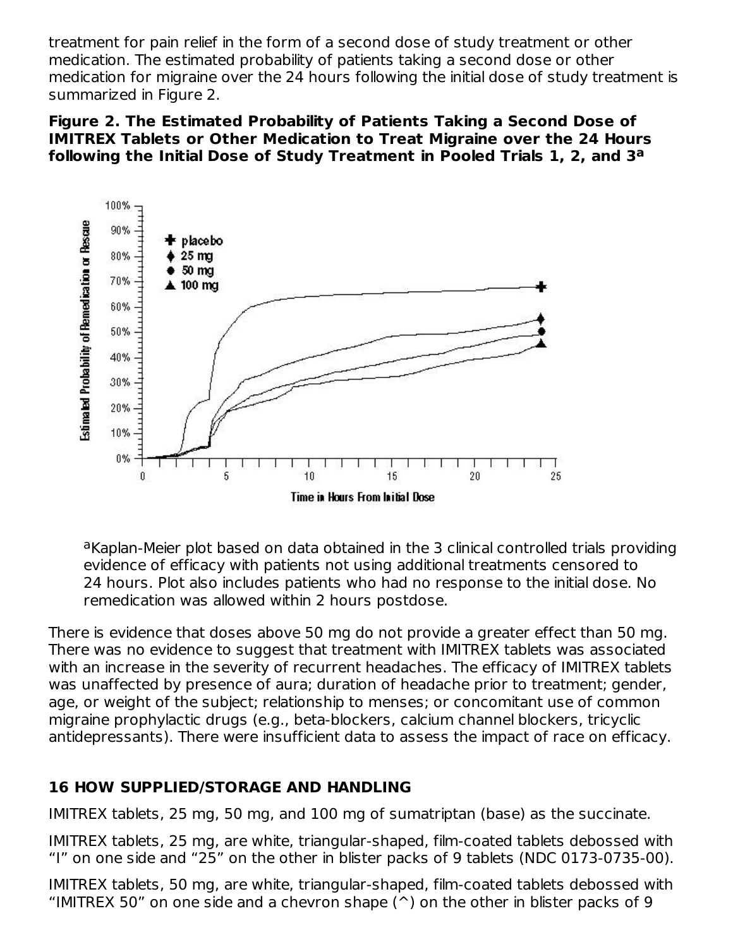treatment for pain relief in the form of a second dose of study treatment or other medication. The estimated probability of patients taking a second dose or other medication for migraine over the 24 hours following the initial dose of study treatment is summarized in Figure 2.

**Figure 2. The Estimated Probability of Patients Taking a Second Dose of IMITREX Tablets or Other Medication to Treat Migraine over the 24 Hours following the Initial Dose of Study Treatment in Pooled Trials 1, 2, and 3 a**



aKaplan-Meier plot based on data obtained in the 3 clinical controlled trials providing evidence of efficacy with patients not using additional treatments censored to 24 hours. Plot also includes patients who had no response to the initial dose. No remedication was allowed within 2 hours postdose.

There is evidence that doses above 50 mg do not provide a greater effect than 50 mg. There was no evidence to suggest that treatment with IMITREX tablets was associated with an increase in the severity of recurrent headaches. The efficacy of IMITREX tablets was unaffected by presence of aura; duration of headache prior to treatment; gender, age, or weight of the subject; relationship to menses; or concomitant use of common migraine prophylactic drugs (e.g., beta-blockers, calcium channel blockers, tricyclic antidepressants). There were insufficient data to assess the impact of race on efficacy.

## **16 HOW SUPPLIED/STORAGE AND HANDLING**

IMITREX tablets, 25 mg, 50 mg, and 100 mg of sumatriptan (base) as the succinate.

IMITREX tablets, 25 mg, are white, triangular‑shaped, film‑coated tablets debossed with "I" on one side and "25" on the other in blister packs of 9 tablets (NDC 0173-0735-00).

IMITREX tablets, 50 mg, are white, triangular‑shaped, film‑coated tablets debossed with "IMITREX 50" on one side and a chevron shape  $(2)$  on the other in blister packs of 9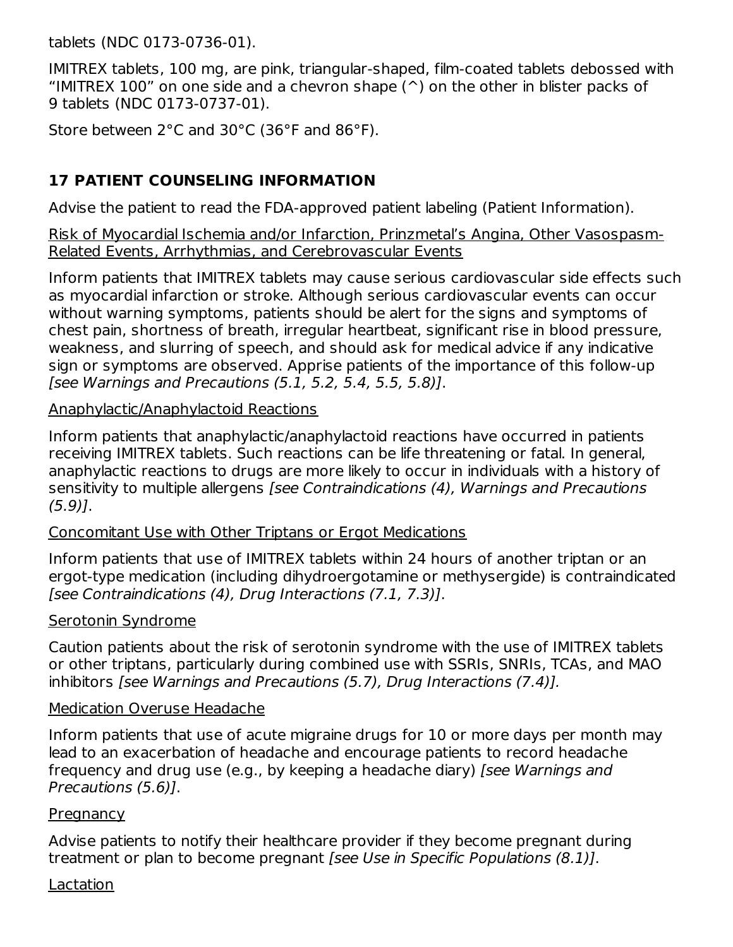tablets (NDC 0173-0736-01).

IMITREX tablets, 100 mg, are pink, triangular‑shaped, film‑coated tablets debossed with "IMITREX 100" on one side and a chevron shape  $(2)$  on the other in blister packs of 9 tablets (NDC 0173-0737-01).

Store between 2°C and 30°C (36°F and 86°F).

## **17 PATIENT COUNSELING INFORMATION**

Advise the patient to read the FDA-approved patient labeling (Patient Information).

Risk of Myocardial Ischemia and/or Infarction, Prinzmetal's Angina, Other Vasospasm-Related Events, Arrhythmias, and Cerebrovascular Events

Inform patients that IMITREX tablets may cause serious cardiovascular side effects such as myocardial infarction or stroke. Although serious cardiovascular events can occur without warning symptoms, patients should be alert for the signs and symptoms of chest pain, shortness of breath, irregular heartbeat, significant rise in blood pressure, weakness, and slurring of speech, and should ask for medical advice if any indicative sign or symptoms are observed. Apprise patients of the importance of this follow-up [see Warnings and Precautions (5.1, 5.2, 5.4, 5.5, 5.8)].

#### Anaphylactic/Anaphylactoid Reactions

Inform patients that anaphylactic/anaphylactoid reactions have occurred in patients receiving IMITREX tablets. Such reactions can be life threatening or fatal. In general, anaphylactic reactions to drugs are more likely to occur in individuals with a history of sensitivity to multiple allergens [see Contraindications (4), Warnings and Precautions  $(5.9)$ ].

#### Concomitant Use with Other Triptans or Ergot Medications

Inform patients that use of IMITREX tablets within 24 hours of another triptan or an ergot-type medication (including dihydroergotamine or methysergide) is contraindicated [see Contraindications (4), Drug Interactions (7.1, 7.3)].

#### Serotonin Syndrome

Caution patients about the risk of serotonin syndrome with the use of IMITREX tablets or other triptans, particularly during combined use with SSRIs, SNRIs, TCAs, and MAO inhibitors [see Warnings and Precautions (5.7), Drug Interactions (7.4)].

#### Medication Overuse Headache

Inform patients that use of acute migraine drugs for 10 or more days per month may lead to an exacerbation of headache and encourage patients to record headache frequency and drug use (e.g., by keeping a headache diary) [see Warnings and Precautions (5.6)].

### **Pregnancy**

Advise patients to notify their healthcare provider if they become pregnant during treatment or plan to become pregnant [see Use in Specific Populations (8.1)].

### Lactation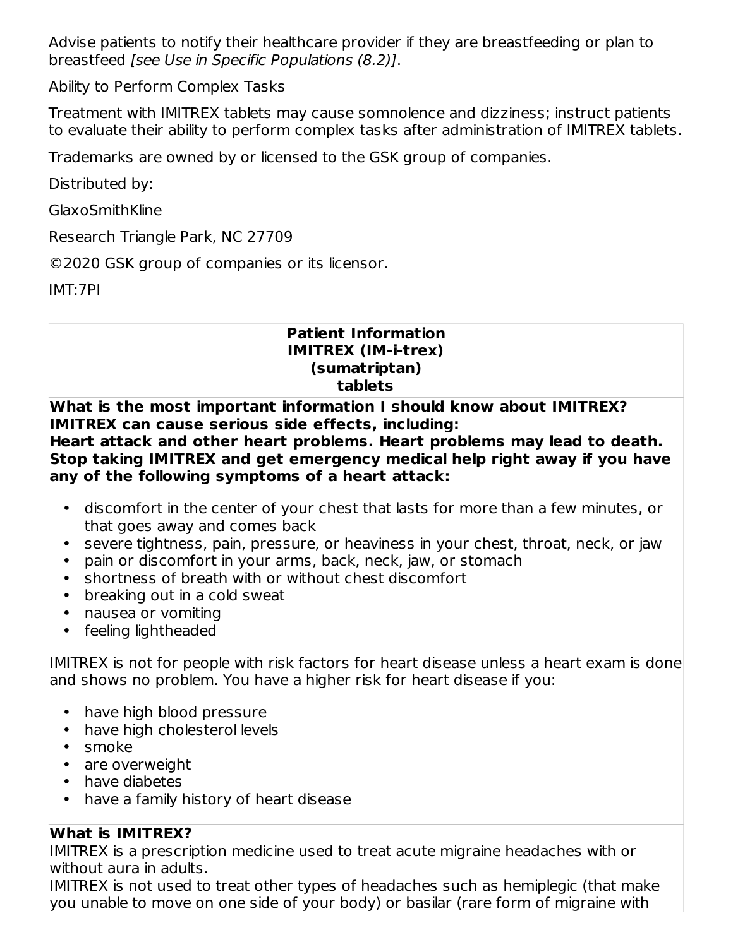Advise patients to notify their healthcare provider if they are breastfeeding or plan to breastfeed [see Use in Specific Populations (8.2)].

### Ability to Perform Complex Tasks

Treatment with IMITREX tablets may cause somnolence and dizziness; instruct patients to evaluate their ability to perform complex tasks after administration of IMITREX tablets.

Trademarks are owned by or licensed to the GSK group of companies.

Distributed by:

GlaxoSmithKline

Research Triangle Park, NC 27709

©2020 GSK group of companies or its licensor.

IMT:7PI

#### **Patient Information IMITREX (IM-i-trex) (sumatriptan) tablets**

**What is the most important information I should know about IMITREX? IMITREX can cause serious side effects, including: Heart attack and other heart problems. Heart problems may lead to death. Stop taking IMITREX and get emergency medical help right away if you have any of the following symptoms of a heart attack:**

- discomfort in the center of your chest that lasts for more than a few minutes, or that goes away and comes back
- severe tightness, pain, pressure, or heaviness in your chest, throat, neck, or jaw
- pain or discomfort in your arms, back, neck, jaw, or stomach
- shortness of breath with or without chest discomfort
- breaking out in a cold sweat
- nausea or vomiting
- feeling lightheaded

IMITREX is not for people with risk factors for heart disease unless a heart exam is done and shows no problem. You have a higher risk for heart disease if you:

- have high blood pressure
- have high cholesterol levels
- smoke
- are overweight
- have diabetes
- have a family history of heart disease

## **What is IMITREX?**

IMITREX is a prescription medicine used to treat acute migraine headaches with or without aura in adults.

IMITREX is not used to treat other types of headaches such as hemiplegic (that make you unable to move on one side of your body) or basilar (rare form of migraine with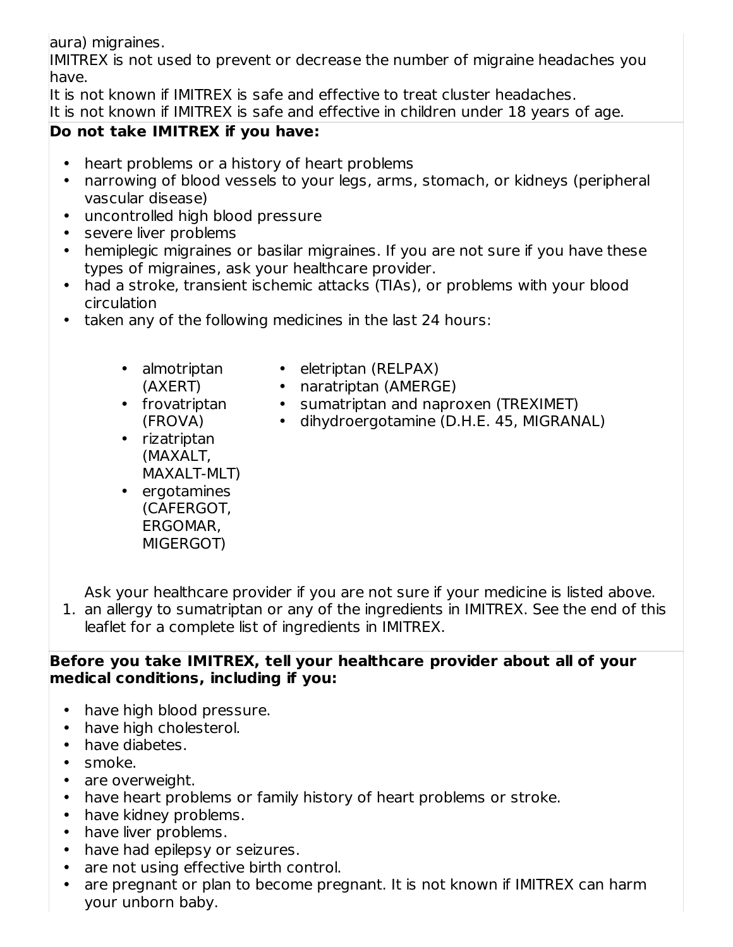aura) migraines.

IMITREX is not used to prevent or decrease the number of migraine headaches you have.

It is not known if IMITREX is safe and effective to treat cluster headaches. It is not known if IMITREX is safe and effective in children under 18 years of age.

### **Do not take IMITREX if you have:**

- heart problems or a history of heart problems
- narrowing of blood vessels to your legs, arms, stomach, or kidneys (peripheral vascular disease)
- uncontrolled high blood pressure
- severe liver problems
- hemiplegic migraines or basilar migraines. If you are not sure if you have these types of migraines, ask your healthcare provider.
- had a stroke, transient ischemic attacks (TIAs), or problems with your blood circulation
- taken any of the following medicines in the last 24 hours:
	- almotriptan (AXERT)
- eletriptan (RELPAX)

• dihydroergotamine (D.H.E. 45, MIGRANAL)

- naratriptan (AMERGE) • sumatriptan and naproxen (TREXIMET)
- frovatriptan (FROVA)
- rizatriptan (MAXALT, MAXALT-MLT)
- ergotamines (CAFERGOT, ERGOMAR, MIGERGOT)

Ask your healthcare provider if you are not sure if your medicine is listed above.

1. an allergy to sumatriptan or any of the ingredients in IMITREX. See the end of this leaflet for a complete list of ingredients in IMITREX.

### **Before you take IMITREX, tell your healthcare provider about all of your medical conditions, including if you:**

- have high blood pressure.
- have high cholesterol.
- have diabetes.
- smoke.
- are overweight.
- have heart problems or family history of heart problems or stroke.
- have kidney problems.
- have liver problems.
- have had epilepsy or seizures.
- are not using effective birth control.
- are pregnant or plan to become pregnant. It is not known if IMITREX can harm your unborn baby.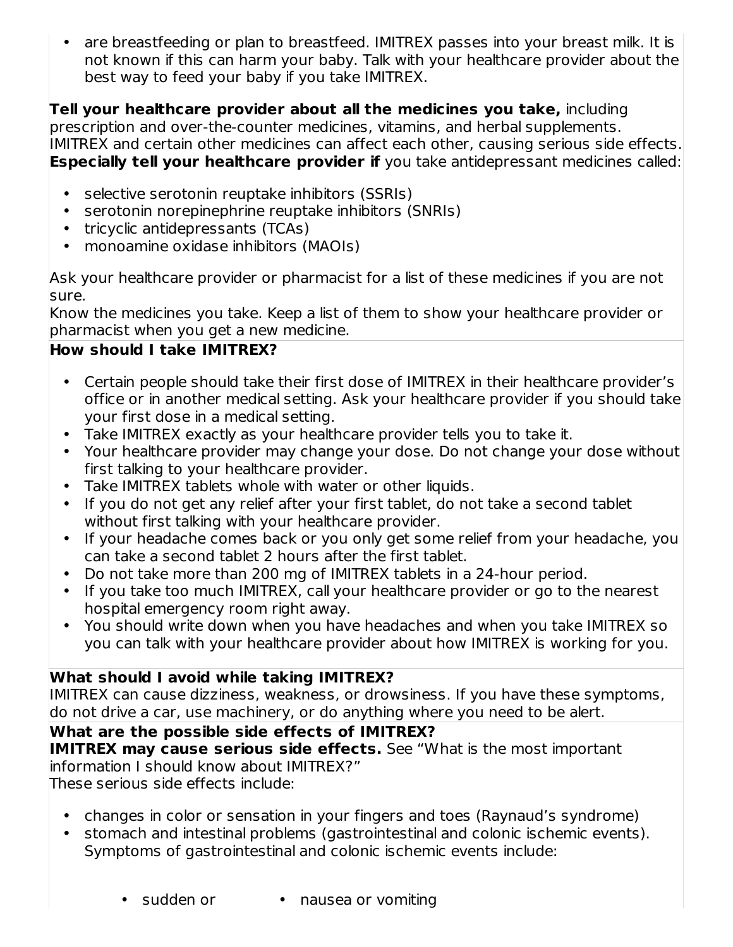• are breastfeeding or plan to breastfeed. IMITREX passes into your breast milk. It is not known if this can harm your baby. Talk with your healthcare provider about the best way to feed your baby if you take IMITREX.

### **Tell your healthcare provider about all the medicines you take,** including

prescription and over-the-counter medicines, vitamins, and herbal supplements. IMITREX and certain other medicines can affect each other, causing serious side effects. **Especially tell your healthcare provider if** you take antidepressant medicines called:

- selective serotonin reuptake inhibitors (SSRIs)
- serotonin norepinephrine reuptake inhibitors (SNRIs)
- tricyclic antidepressants (TCAs)
- monoamine oxidase inhibitors (MAOIs)

Ask your healthcare provider or pharmacist for a list of these medicines if you are not sure.

Know the medicines you take. Keep a list of them to show your healthcare provider or pharmacist when you get a new medicine.

## **How should I take IMITREX?**

- Certain people should take their first dose of IMITREX in their healthcare provider's office or in another medical setting. Ask your healthcare provider if you should take your first dose in a medical setting.
- Take IMITREX exactly as your healthcare provider tells you to take it.
- Your healthcare provider may change your dose. Do not change your dose without first talking to your healthcare provider.
- Take IMITREX tablets whole with water or other liquids.
- If you do not get any relief after your first tablet, do not take a second tablet without first talking with your healthcare provider.
- If your headache comes back or you only get some relief from your headache, you can take a second tablet 2 hours after the first tablet.
- Do not take more than 200 mg of IMITREX tablets in a 24-hour period.
- If you take too much IMITREX, call your healthcare provider or go to the nearest hospital emergency room right away.
- You should write down when you have headaches and when you take IMITREX so you can talk with your healthcare provider about how IMITREX is working for you.

## **What should I avoid while taking IMITREX?**

IMITREX can cause dizziness, weakness, or drowsiness. If you have these symptoms, do not drive a car, use machinery, or do anything where you need to be alert.

**What are the possible side effects of IMITREX? IMITREX may cause serious side effects.** See "What is the most important information I should know about IMITREX?"

These serious side effects include:

- changes in color or sensation in your fingers and toes (Raynaud's syndrome)
- stomach and intestinal problems (gastrointestinal and colonic ischemic events). Symptoms of gastrointestinal and colonic ischemic events include:

• nausea or vomiting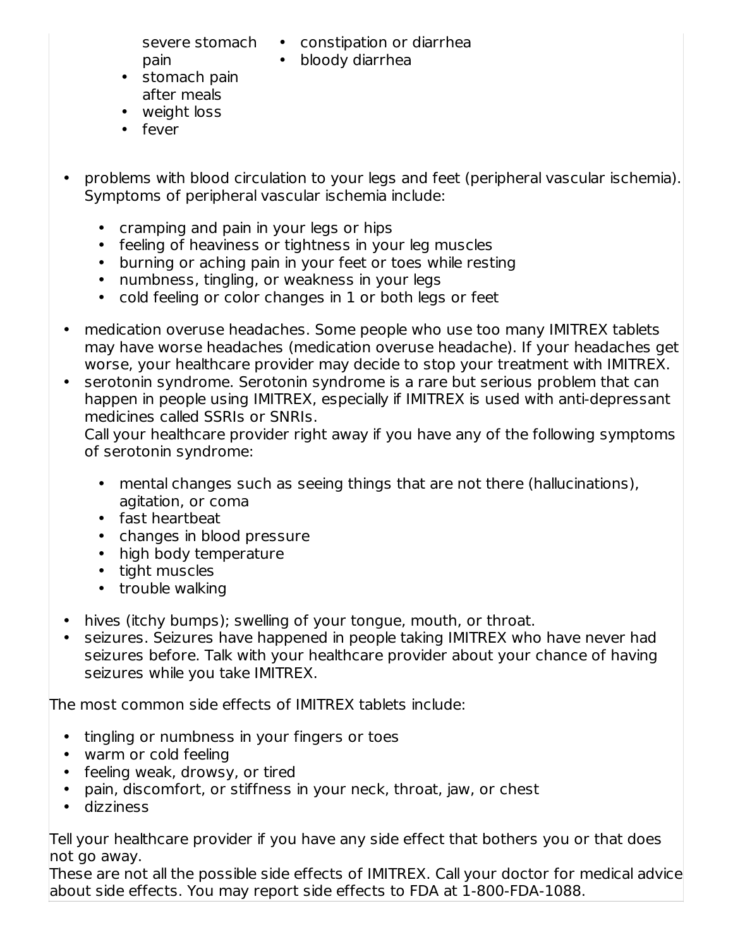pain

severe stomach • constipation or diarrhea

• bloody diarrhea

- stomach pain after meals
- weight loss
- fever
- problems with blood circulation to your legs and feet (peripheral vascular ischemia). Symptoms of peripheral vascular ischemia include:
	- cramping and pain in your legs or hips
	- feeling of heaviness or tightness in your leg muscles
	- burning or aching pain in your feet or toes while resting
	- numbness, tingling, or weakness in your legs
	- cold feeling or color changes in 1 or both legs or feet
- medication overuse headaches. Some people who use too many IMITREX tablets may have worse headaches (medication overuse headache). If your headaches get worse, your healthcare provider may decide to stop your treatment with IMITREX.
- serotonin syndrome. Serotonin syndrome is a rare but serious problem that can happen in people using IMITREX, especially if IMITREX is used with anti-depressant medicines called SSRIs or SNRIs.

Call your healthcare provider right away if you have any of the following symptoms of serotonin syndrome:

- mental changes such as seeing things that are not there (hallucinations), agitation, or coma
- fast heartbeat
- changes in blood pressure
- high body temperature
- tight muscles
- trouble walking
- $\bullet$ hives (itchy bumps); swelling of your tongue, mouth, or throat.
- seizures. Seizures have happened in people taking IMITREX who have never had seizures before. Talk with your healthcare provider about your chance of having seizures while you take IMITREX.

The most common side effects of IMITREX tablets include:

- tingling or numbness in your fingers or toes
- warm or cold feeling
- feeling weak, drowsy, or tired
- pain, discomfort, or stiffness in your neck, throat, jaw, or chest
- dizziness

Tell your healthcare provider if you have any side effect that bothers you or that does not go away.

These are not all the possible side effects of IMITREX. Call your doctor for medical advice about side effects. You may report side effects to FDA at 1-800-FDA-1088.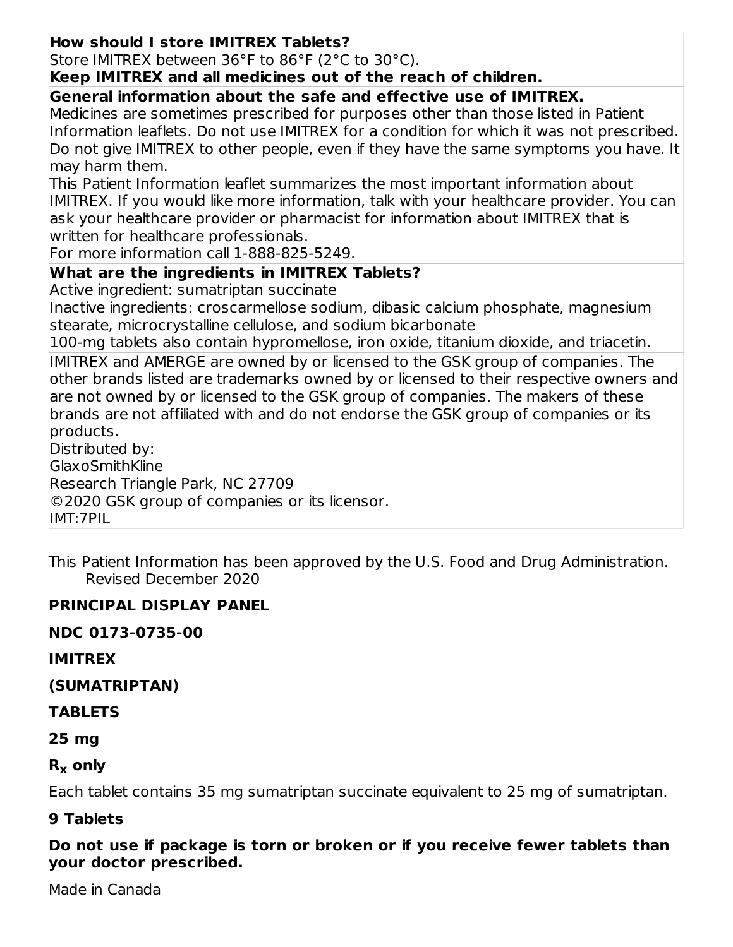### **How should I store IMITREX Tablets?**

Store IMITREX between 36°F to 86°F (2°C to 30°C).

#### **Keep IMITREX and all medicines out of the reach of children.**

**General information about the safe and effective use of IMITREX.**

Medicines are sometimes prescribed for purposes other than those listed in Patient Information leaflets. Do not use IMITREX for a condition for which it was not prescribed. Do not give IMITREX to other people, even if they have the same symptoms you have. It may harm them.

This Patient Information leaflet summarizes the most important information about IMITREX. If you would like more information, talk with your healthcare provider. You can ask your healthcare provider or pharmacist for information about IMITREX that is written for healthcare professionals.

For more information call 1-888-825-5249.

### **What are the ingredients in IMITREX Tablets?**

Active ingredient: sumatriptan succinate

Inactive ingredients: croscarmellose sodium, dibasic calcium phosphate, magnesium stearate, microcrystalline cellulose, and sodium bicarbonate

100‑mg tablets also contain hypromellose, iron oxide, titanium dioxide, and triacetin.

IMITREX and AMERGE are owned by or licensed to the GSK group of companies. The other brands listed are trademarks owned by or licensed to their respective owners and are not owned by or licensed to the GSK group of companies. The makers of these brands are not affiliated with and do not endorse the GSK group of companies or its products.

Distributed by:

GlaxoSmithKline

Research Triangle Park, NC 27709

©2020 GSK group of companies or its licensor.

IMT:7PIL

This Patient Information has been approved by the U.S. Food and Drug Administration. Revised December 2020

### **PRINCIPAL DISPLAY PANEL**

**NDC 0173-0735-00**

**IMITREX**

**(SUMATRIPTAN)**

#### **TABLETS**

**25 mg**

**R only x**

Each tablet contains 35 mg sumatriptan succinate equivalent to 25 mg of sumatriptan.

#### **9 Tablets**

**Do not use if package is torn or broken or if you receive fewer tablets than your doctor prescribed.**

Made in Canada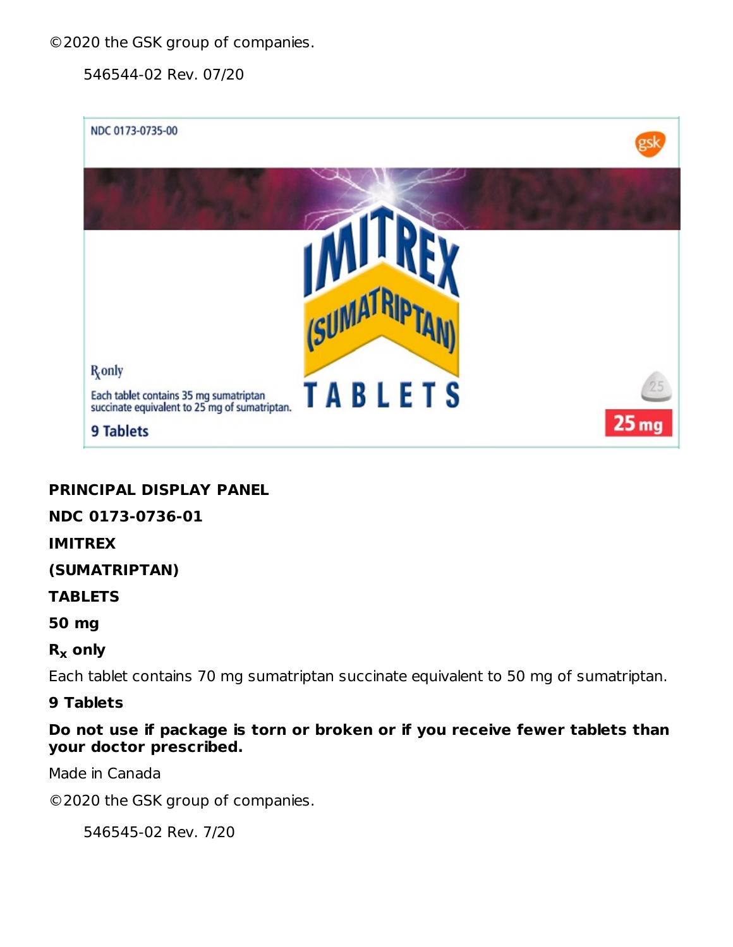©2020 the GSK group of companies.

546544-02 Rev. 07/20



### **PRINCIPAL DISPLAY PANEL**

#### **NDC 0173-0736-01**

#### **IMITREX**

#### **(SUMATRIPTAN)**

#### **TABLETS**

#### **50 mg**

## **R only x**

Each tablet contains 70 mg sumatriptan succinate equivalent to 50 mg of sumatriptan.

#### **9 Tablets**

**Do not use if package is torn or broken or if you receive fewer tablets than your doctor prescribed.**

Made in Canada

©2020 the GSK group of companies.

546545-02 Rev. 7/20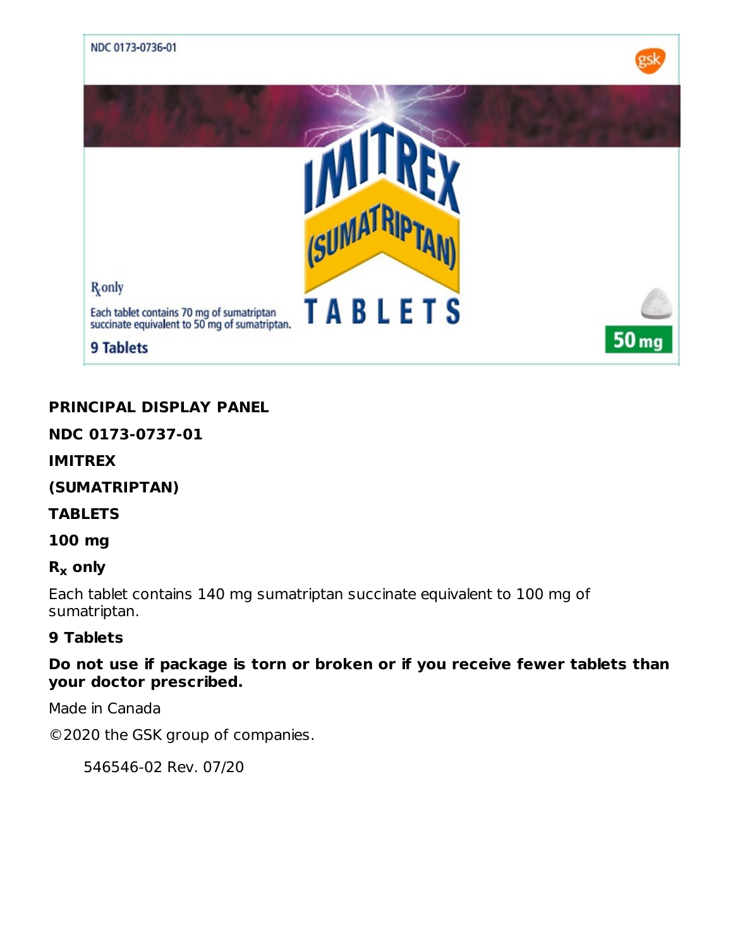

### **PRINCIPAL DISPLAY PANEL**

#### **NDC 0173-0737-01**

#### **IMITREX**

**(SUMATRIPTAN)**

#### **TABLETS**

**100 mg**

### **R only x**

Each tablet contains 140 mg sumatriptan succinate equivalent to 100 mg of sumatriptan.

#### **9 Tablets**

**Do not use if package is torn or broken or if you receive fewer tablets than your doctor prescribed.**

Made in Canada

©2020 the GSK group of companies.

546546-02 Rev. 07/20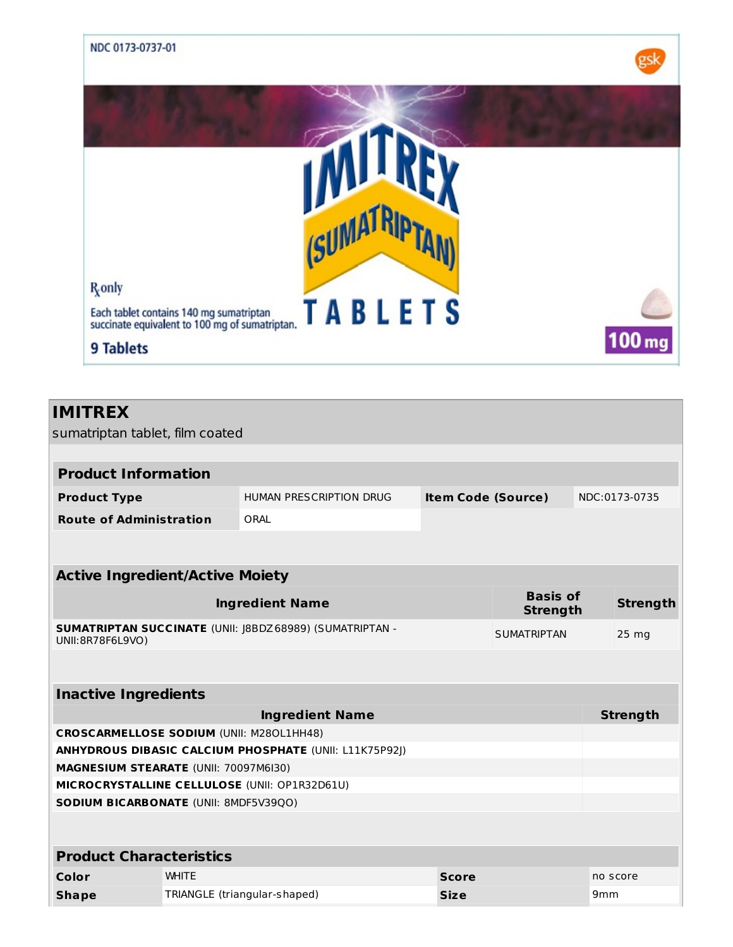

# **IMITREX**

sumatriptan tablet, film coated

| <b>Product Information</b>                      |              |                                                                 |                           |                                    |                 |                 |
|-------------------------------------------------|--------------|-----------------------------------------------------------------|---------------------------|------------------------------------|-----------------|-----------------|
| <b>Product Type</b>                             |              | HUMAN PRESCRIPTION DRUG                                         | <b>Item Code (Source)</b> |                                    |                 | NDC:0173-0735   |
| <b>Route of Administration</b>                  |              | ORAL                                                            |                           |                                    |                 |                 |
|                                                 |              |                                                                 |                           |                                    |                 |                 |
| <b>Active Ingredient/Active Moiety</b>          |              |                                                                 |                           |                                    |                 |                 |
|                                                 |              | <b>Ingredient Name</b>                                          |                           | <b>Basis of</b><br><b>Strength</b> |                 | <b>Strength</b> |
| UNII:8R78F6L9VO)                                |              | <b>SUMATRIPTAN SUCCINATE (UNII: J8BDZ 68989) (SUMATRIPTAN -</b> |                           | <b>SUMATRIPTAN</b>                 |                 | $25 \text{ mg}$ |
|                                                 |              |                                                                 |                           |                                    |                 |                 |
| <b>Inactive Ingredients</b>                     |              |                                                                 |                           |                                    |                 |                 |
|                                                 |              | <b>Ingredient Name</b>                                          |                           |                                    |                 | <b>Strength</b> |
| <b>CROSCARMELLOSE SODIUM (UNII: M280L1HH48)</b> |              |                                                                 |                           |                                    |                 |                 |
|                                                 |              | <b>ANHYDROUS DIBASIC CALCIUM PHOSPHATE (UNII: L11K75P92J)</b>   |                           |                                    |                 |                 |
| MAGNESIUM STEARATE (UNII: 70097M6I30)           |              |                                                                 |                           |                                    |                 |                 |
|                                                 |              | MICROCRYSTALLINE CELLULOSE (UNII: OP1R32D61U)                   |                           |                                    |                 |                 |
| <b>SODIUM BICARBONATE (UNII: 8MDF5V39QO)</b>    |              |                                                                 |                           |                                    |                 |                 |
|                                                 |              |                                                                 |                           |                                    |                 |                 |
| <b>Product Characteristics</b>                  |              |                                                                 |                           |                                    |                 |                 |
| Color                                           | <b>WHITE</b> |                                                                 | <b>Score</b>              |                                    |                 | no score        |
| <b>Shape</b>                                    |              | TRIANGLE (triangular-shaped)                                    | <b>Size</b>               |                                    | 9 <sub>mm</sub> |                 |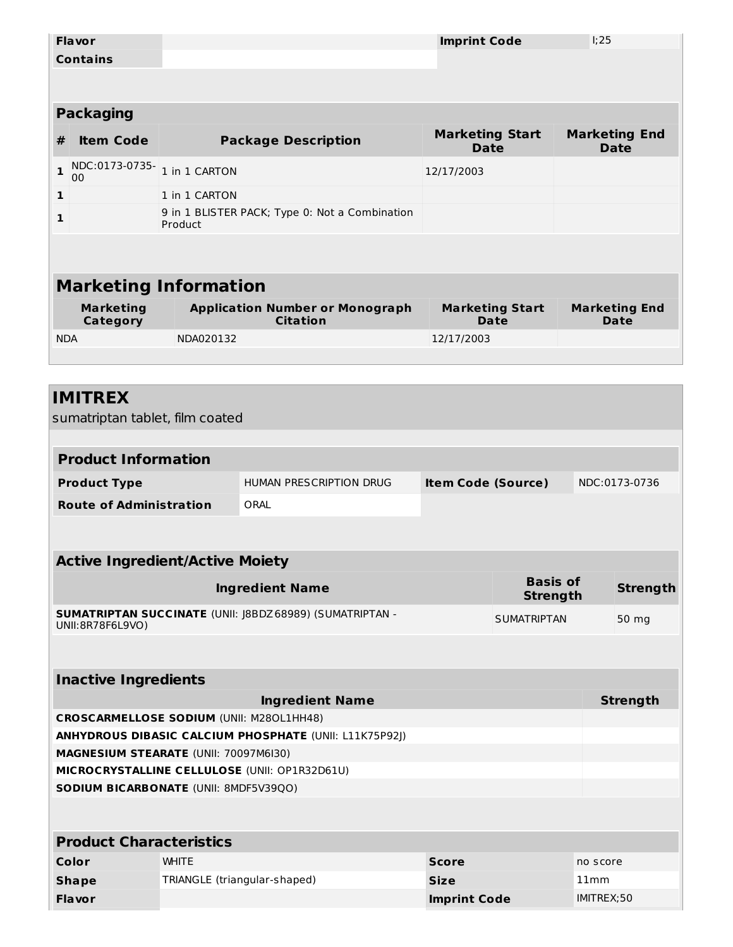|                                           | <b>Flavor</b>                                                                   |               |                                                           | <b>Imprint Code</b>                   |                                    | 1:25 |                                     |  |
|-------------------------------------------|---------------------------------------------------------------------------------|---------------|-----------------------------------------------------------|---------------------------------------|------------------------------------|------|-------------------------------------|--|
|                                           | <b>Contains</b>                                                                 |               |                                                           |                                       |                                    |      |                                     |  |
|                                           |                                                                                 |               |                                                           |                                       |                                    |      |                                     |  |
|                                           | <b>Packaging</b>                                                                |               |                                                           |                                       |                                    |      |                                     |  |
|                                           |                                                                                 |               |                                                           |                                       |                                    |      |                                     |  |
| #                                         | <b>Item Code</b>                                                                |               | <b>Package Description</b>                                | <b>Marketing Start</b><br><b>Date</b> |                                    |      | <b>Marketing End</b><br><b>Date</b> |  |
| $\mathbf{1}$                              | NDC:0173-0735-                                                                  | 1 in 1 CARTON |                                                           | 12/17/2003                            |                                    |      |                                     |  |
| $\mathbf{1}$                              | 00                                                                              | 1 in 1 CARTON |                                                           |                                       |                                    |      |                                     |  |
|                                           |                                                                                 |               | 9 in 1 BLISTER PACK; Type 0: Not a Combination            |                                       |                                    |      |                                     |  |
| 1                                         |                                                                                 | Product       |                                                           |                                       |                                    |      |                                     |  |
|                                           |                                                                                 |               |                                                           |                                       |                                    |      |                                     |  |
|                                           |                                                                                 |               |                                                           |                                       |                                    |      |                                     |  |
|                                           | <b>Marketing Information</b>                                                    |               |                                                           |                                       |                                    |      |                                     |  |
|                                           | <b>Marketing</b><br><b>Category</b>                                             |               | <b>Application Number or Monograph</b><br><b>Citation</b> |                                       | <b>Marketing Start</b><br>Date     |      | <b>Marketing End</b><br>Date        |  |
| <b>NDA</b>                                |                                                                                 | NDA020132     |                                                           | 12/17/2003                            |                                    |      |                                     |  |
|                                           |                                                                                 |               |                                                           |                                       |                                    |      |                                     |  |
|                                           | <b>IMITREX</b><br>sumatriptan tablet, film coated<br><b>Product Information</b> |               |                                                           |                                       |                                    |      |                                     |  |
|                                           |                                                                                 |               | HUMAN PRESCRIPTION DRUG                                   | <b>Item Code (Source)</b>             |                                    |      | NDC:0173-0736                       |  |
|                                           | <b>Product Type</b>                                                             |               |                                                           |                                       |                                    |      |                                     |  |
|                                           | <b>Route of Administration</b>                                                  |               | ORAL                                                      |                                       |                                    |      |                                     |  |
|                                           |                                                                                 |               |                                                           |                                       |                                    |      |                                     |  |
|                                           | <b>Active Ingredient/Active Moiety</b>                                          |               |                                                           |                                       |                                    |      |                                     |  |
|                                           |                                                                                 |               | <b>Ingredient Name</b>                                    |                                       | <b>Basis of</b><br><b>Strength</b> |      | <b>Strength</b>                     |  |
|                                           | UNII:8R78F6L9VO)                                                                |               | SUMATRIPTAN SUCCINATE (UNII: J8BDZ 68989) (SUMATRIPTAN -  |                                       | <b>SUMATRIPTAN</b>                 |      | 50 mg                               |  |
|                                           |                                                                                 |               |                                                           |                                       |                                    |      |                                     |  |
|                                           | <b>Inactive Ingredients</b>                                                     |               |                                                           |                                       |                                    |      |                                     |  |
| <b>Ingredient Name</b><br><b>Strength</b> |                                                                                 |               |                                                           |                                       |                                    |      |                                     |  |
|                                           | <b>CROSCARMELLOSE SODIUM (UNII: M280L1HH48)</b>                                 |               |                                                           |                                       |                                    |      |                                     |  |
|                                           |                                                                                 |               | ANHYDROUS DIBASIC CALCIUM PHOSPHATE (UNII: L11K75P92J)    |                                       |                                    |      |                                     |  |
|                                           | MAGNESIUM STEARATE (UNII: 70097M6I30)                                           |               |                                                           |                                       |                                    |      |                                     |  |
|                                           |                                                                                 |               | MICROCRYSTALLINE CELLULOSE (UNII: OP1R32D61U)             |                                       |                                    |      |                                     |  |
|                                           | SODIUM BICARBONATE (UNII: 8MDF5V39QO)                                           |               |                                                           |                                       |                                    |      |                                     |  |

#### **Product Characteristics**

| Color         | <b>WHITE</b>                 | <b>Score</b>        | no score   |  |  |  |  |
|---------------|------------------------------|---------------------|------------|--|--|--|--|
| <b>Shape</b>  | TRIANGLE (triangular-shaped) | <b>Size</b>         | 11mm       |  |  |  |  |
| <b>Flavor</b> |                              | <b>Imprint Code</b> | IMITREX:50 |  |  |  |  |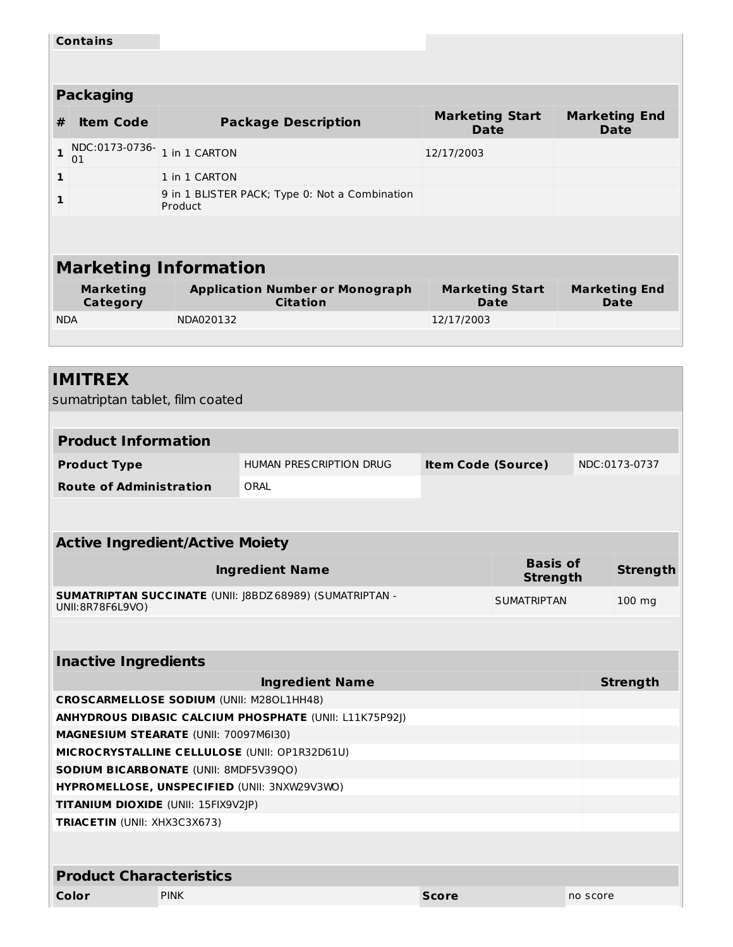|                                                                                        | <b>Contains</b>                                 |               |                                                                 |                                       |                                    |  |                                     |  |
|----------------------------------------------------------------------------------------|-------------------------------------------------|---------------|-----------------------------------------------------------------|---------------------------------------|------------------------------------|--|-------------------------------------|--|
|                                                                                        |                                                 |               |                                                                 |                                       |                                    |  |                                     |  |
|                                                                                        | <b>Packaging</b>                                |               |                                                                 |                                       |                                    |  |                                     |  |
| #                                                                                      | <b>Item Code</b>                                |               | <b>Package Description</b>                                      | <b>Marketing Start</b><br><b>Date</b> |                                    |  | <b>Marketing End</b><br><b>Date</b> |  |
| $\mathbf{1}$                                                                           | NDC:0173-0736-<br>01                            | 1 in 1 CARTON |                                                                 | 12/17/2003                            |                                    |  |                                     |  |
| $\mathbf 1$                                                                            |                                                 | 1 in 1 CARTON |                                                                 |                                       |                                    |  |                                     |  |
| 1                                                                                      |                                                 | Product       | 9 in 1 BLISTER PACK; Type 0: Not a Combination                  |                                       |                                    |  |                                     |  |
|                                                                                        |                                                 |               |                                                                 |                                       |                                    |  |                                     |  |
|                                                                                        | <b>Marketing Information</b>                    |               |                                                                 |                                       |                                    |  |                                     |  |
|                                                                                        | <b>Marketing</b><br>Category                    |               | <b>Application Number or Monograph</b><br><b>Citation</b>       |                                       | <b>Marketing Start</b><br>Date     |  | <b>Marketing End</b><br>Date        |  |
| <b>NDA</b>                                                                             |                                                 | NDA020132     |                                                                 | 12/17/2003                            |                                    |  |                                     |  |
|                                                                                        |                                                 |               |                                                                 |                                       |                                    |  |                                     |  |
|                                                                                        |                                                 |               |                                                                 |                                       |                                    |  |                                     |  |
|                                                                                        | <b>IMITREX</b>                                  |               |                                                                 |                                       |                                    |  |                                     |  |
|                                                                                        | sumatriptan tablet, film coated                 |               |                                                                 |                                       |                                    |  |                                     |  |
|                                                                                        |                                                 |               |                                                                 |                                       |                                    |  |                                     |  |
|                                                                                        | <b>Product Information</b>                      |               |                                                                 |                                       |                                    |  |                                     |  |
|                                                                                        | <b>Product Type</b>                             |               | <b>HUMAN PRESCRIPTION DRUG</b>                                  | <b>Item Code (Source)</b>             |                                    |  | NDC:0173-0737                       |  |
|                                                                                        | <b>Route of Administration</b>                  |               | ORAL                                                            |                                       |                                    |  |                                     |  |
|                                                                                        |                                                 |               |                                                                 |                                       |                                    |  |                                     |  |
|                                                                                        | <b>Active Ingredient/Active Moiety</b>          |               |                                                                 |                                       |                                    |  |                                     |  |
|                                                                                        |                                                 |               | <b>Ingredient Name</b>                                          |                                       | <b>Basis of</b><br><b>Strength</b> |  | <b>Strength</b>                     |  |
|                                                                                        | UNII:8R78F6L9VO)                                |               | <b>SUMATRIPTAN SUCCINATE (UNII: J8BDZ 68989) (SUMATRIPTAN -</b> |                                       | <b>SUMATRIPTAN</b>                 |  | 100 mg                              |  |
|                                                                                        |                                                 |               |                                                                 |                                       |                                    |  |                                     |  |
|                                                                                        |                                                 |               |                                                                 |                                       |                                    |  |                                     |  |
|                                                                                        | <b>Inactive Ingredients</b>                     |               |                                                                 |                                       |                                    |  |                                     |  |
|                                                                                        |                                                 |               | <b>Ingredient Name</b>                                          |                                       |                                    |  | <b>Strength</b>                     |  |
|                                                                                        | <b>CROSCARMELLOSE SODIUM (UNII: M280L1HH48)</b> |               |                                                                 |                                       |                                    |  |                                     |  |
|                                                                                        |                                                 |               | ANHYDROUS DIBASIC CALCIUM PHOSPHATE (UNII: L11K75P92J)          |                                       |                                    |  |                                     |  |
| MAGNESIUM STEARATE (UNII: 70097M6I30)                                                  |                                                 |               |                                                                 |                                       |                                    |  |                                     |  |
| MICROCRYSTALLINE CELLULOSE (UNII: OP1R32D61U)<br>SODIUM BICARBONATE (UNII: 8MDF5V39QO) |                                                 |               |                                                                 |                                       |                                    |  |                                     |  |
|                                                                                        | HYPROMELLOSE, UNSPECIFIED (UNII: 3NXW29V3WO)    |               |                                                                 |                                       |                                    |  |                                     |  |
|                                                                                        | TITANIUM DIOXIDE (UNII: 15FIX9V2JP)             |               |                                                                 |                                       |                                    |  |                                     |  |
|                                                                                        | <b>TRIACETIN (UNII: XHX3C3X673)</b>             |               |                                                                 |                                       |                                    |  |                                     |  |
|                                                                                        |                                                 |               |                                                                 |                                       |                                    |  |                                     |  |
|                                                                                        | <b>Product Characteristics</b>                  |               |                                                                 |                                       |                                    |  |                                     |  |
|                                                                                        |                                                 |               |                                                                 |                                       |                                    |  |                                     |  |

**Color** PINK **Score** no score